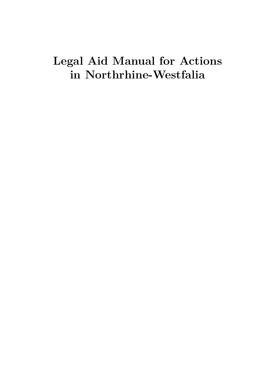# **Legal Aid Manual for Actions in Northrhine-Westfalia**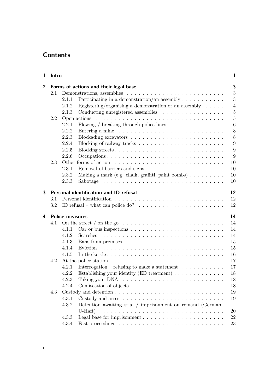# **Contents**

| 1              | Intro   |                        |                                                                                              | 1                |  |  |
|----------------|---------|------------------------|----------------------------------------------------------------------------------------------|------------------|--|--|
| $\overline{2}$ |         |                        | Forms of actions and their legal base                                                        | 3                |  |  |
|                | 2.1     |                        |                                                                                              | 3                |  |  |
|                |         | 2.1.1                  | Participating in a demonstration/an assembly $\dots \dots \dots$                             | 3                |  |  |
|                |         | 2.1.2                  | Registering/organising a demonstration or an assembly $\ldots \ldots$                        | $\overline{4}$   |  |  |
|                |         | 2.1.3                  | Conducting unregistered assemblies                                                           | $\overline{5}$   |  |  |
|                | 2.2     |                        | Open actions $\ldots \ldots \ldots \ldots \ldots \ldots \ldots \ldots \ldots \ldots \ldots$  | $\overline{5}$   |  |  |
|                |         | 2.2.1                  | Flowing / breaking through police lines $\ldots \ldots \ldots \ldots$                        | $\boldsymbol{6}$ |  |  |
|                |         | 2.2.2                  | Entering a mine $\dots \dots \dots \dots \dots \dots \dots \dots \dots \dots \dots$          | 8                |  |  |
|                |         | 2.2.3                  |                                                                                              | 8                |  |  |
|                |         | 2.2.4                  |                                                                                              | 9                |  |  |
|                |         | 2.2.5                  |                                                                                              | 9                |  |  |
|                |         | 2.2.6                  |                                                                                              | 9                |  |  |
|                | 2.3     |                        |                                                                                              | 10               |  |  |
|                |         | 2.3.1                  |                                                                                              | 10               |  |  |
|                |         | 2.3.2                  | Making a mark (e.g. chalk, graffiti, paint bombs)                                            | 10               |  |  |
|                |         | 2.3.3                  |                                                                                              | 10               |  |  |
| 3              |         |                        | Personal identification and ID refusal                                                       | 12               |  |  |
|                | 3.1     |                        |                                                                                              | 12               |  |  |
|                | $3.2\,$ |                        | ID refusal – what can police do? $\ldots \ldots \ldots \ldots \ldots \ldots \ldots$          | 12               |  |  |
|                |         |                        |                                                                                              |                  |  |  |
| 4              |         | <b>Police measures</b> |                                                                                              | 14               |  |  |
|                | 4.1     |                        | On the street $/$ on the go $\ldots \ldots \ldots \ldots \ldots \ldots \ldots \ldots \ldots$ | 14               |  |  |
|                |         | 4.1.1                  | Car or bus inspections $\ldots \ldots \ldots \ldots \ldots \ldots \ldots \ldots$             | 14               |  |  |
|                |         | 4.1.2                  |                                                                                              | 14               |  |  |
|                |         | 4.1.3                  |                                                                                              | 15               |  |  |
|                |         | 4.1.4                  |                                                                                              | 15               |  |  |
|                |         | 4.1.5                  | In the kettle $\ldots \ldots \ldots \ldots \ldots \ldots \ldots \ldots \ldots \ldots$        | 16               |  |  |
|                | 4.2     |                        |                                                                                              | 17               |  |  |
|                |         | 4.2.1                  | Interrogation – refusing to make a statement $\hfill\ldots\ldots\ldots\ldots\ldots$          | 17               |  |  |
|                |         | 4.2.2                  | Establishing your identity (ED treatment) $\ldots \ldots \ldots \ldots$                      | 18               |  |  |
|                |         | 4.2.3                  |                                                                                              | 18               |  |  |
|                |         | 4.2.4                  |                                                                                              | 18               |  |  |
|                | 4.3     |                        |                                                                                              | 19               |  |  |
|                |         | 4.3.1                  |                                                                                              | 19               |  |  |
|                |         | 4.3.2                  | Detention awaiting trial / imprisonment on remand (German:                                   |                  |  |  |
|                |         |                        |                                                                                              | 20               |  |  |
|                |         | 4.3.3                  |                                                                                              | 22               |  |  |
|                |         | 4.3.4                  |                                                                                              | $23\,$           |  |  |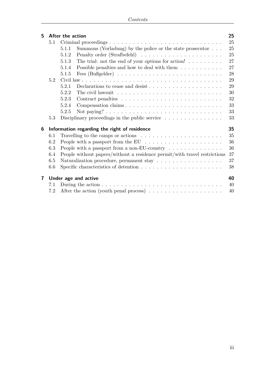| 5 | After the action                             |                                                                                       |    |  |  |  |
|---|----------------------------------------------|---------------------------------------------------------------------------------------|----|--|--|--|
|   | 5.1                                          |                                                                                       | 25 |  |  |  |
|   |                                              | Summons (Vorladung) by the police or the state prosecutor $\ldots$<br>5.1.1           | 25 |  |  |  |
|   |                                              | 5.1.2                                                                                 | 25 |  |  |  |
|   |                                              | The trial: not the end of your options for action! $\ldots \ldots \ldots$<br>5.1.3    | 27 |  |  |  |
|   |                                              | Possible penalties and how to deal with them $\dots \dots \dots$<br>5.1.4             | 27 |  |  |  |
|   |                                              | 5.1.5                                                                                 | 28 |  |  |  |
|   | 5.2                                          |                                                                                       | 29 |  |  |  |
|   |                                              | 5.2.1                                                                                 | 29 |  |  |  |
|   |                                              | 5.2.2                                                                                 | 30 |  |  |  |
|   |                                              | 5.2.3                                                                                 | 32 |  |  |  |
|   |                                              | 5.2.4<br>Compensation claims                                                          | 33 |  |  |  |
|   |                                              | 5.2.5                                                                                 | 33 |  |  |  |
|   | 5.3                                          | Disciplinary proceedings in the public service $\dots \dots \dots \dots \dots$        | 33 |  |  |  |
| 6 | Information regarding the right of residence |                                                                                       |    |  |  |  |
|   | 6.1                                          | Travelling to the camps or actions $\ldots \ldots \ldots \ldots \ldots \ldots \ldots$ | 35 |  |  |  |
|   | 6.2                                          | People with a passport from the EU $\dots \dots \dots \dots \dots \dots$              | 36 |  |  |  |
|   | 6.3                                          | People with a passport from a non-EU-country $\dots \dots \dots \dots$                | 36 |  |  |  |
|   | 6.4                                          | People without papers/without a residence permit/with travel restrictions             | 37 |  |  |  |
|   | 6.5                                          |                                                                                       | 37 |  |  |  |
|   | 6.6                                          |                                                                                       | 38 |  |  |  |
| 7 |                                              | Under age and active                                                                  | 40 |  |  |  |
|   | 7.1                                          |                                                                                       | 40 |  |  |  |
|   | 7.2                                          | After the action (youth penal process) $\dots \dots \dots \dots \dots \dots$          | 40 |  |  |  |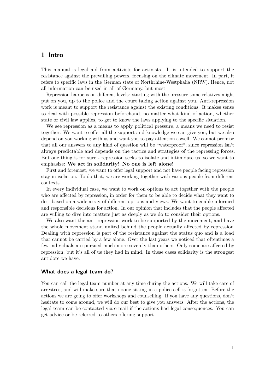# <span id="page-4-0"></span>**1 Intro**

This manual is legal aid from activists for activists. It is intended to support the resistance against the prevailing powers, focusing on the climate movement. In part, it refers to specific laws in the German state of Northrhine-Westphalia (NRW). Hence, not all information can be used in all of Germany, but most.

Repression happens on different levels: starting with the pressure some relatives might put on you, up to the police and the court taking action against you. Anti-repression work is meant to support the resistance against the existing conditions. It makes sense to deal with possible repression beforehand, no matter what kind of action, whether state or civil law applies, to get to know the laws applying to the specific situation.

We see repression as a means to apply political pressure, a means we need to resist together. We want to offer all the support and knowledge we can give you, but we also depend on you working with us and want you to pay attention aswell. We cannot promise that all our answers to any kind of question will be "waterproof", since repression isn't always predictable and depends on the tactics and strategies of the repressing forces. But one thing is for sure - repression seeks to isolate and intimidate us, so we want to emphasize: **We act in solidarity! No one is left alone!**

First and foremost, we want to offer legal support and not have people facing repression stay in isolation. To do that, we are working together with various people from different contexts.

In every individual case, we want to work on options to act together with the people who are affected by repression, in order for them to be able to decide what they want to do - based on a wide array of different options and views. We want to enable informed and responsible decisions for action. In our opinion that includes that the people affected are willing to dive into matters just as deeply as we do to consider their options.

We also want the anti-repression work to be supported by the movement, and have the whole movement stand united behind the people actually affected by repression. Dealing with repression is part of the resistance against the status quo and is a load that cannot be carried by a few alone. Over the last years we noticed that oftentimes a few individuals are pursued much more severely than others. Only some are affected by repression, but it's all of us they had in mind. In these cases solidarity is the strongest antidote we have.

#### **What does a legal team do?**

You can call the legal team number at any time during the actions. We will take care of arrestees, and will make sure that noone sitting in a police cell is forgotten. Before the actions we are going to offer workshops and counselling. If you have any questions, don't hesitate to come around, we will do our best to give you answers. After the actions, the legal team can be contacted via e-mail if the actions had legal consequences. You can get advice or be referred to others offering support.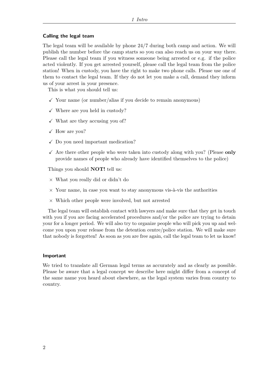#### **Calling the legal team**

The legal team will be available by phone 24/7 during both camp and action. We will publish the number before the camp starts so you can also reach us on your way there. Please call the legal team if you witness someone being arrested or e.g. if the police acted violently. If you get arrested yourself, please call the legal team from the police station! When in custody, you have the right to make two phone calls. Please use one of them to contact the legal team. If they do not let you make a call, demand they inform us of your arrest in your presence.

This is what you should tell us:

- $\checkmark$  Your name (or number/alias if you decide to remain anonymous)
- $\checkmark$  Where are you held in custody?
- $\checkmark$  What are they accusing you of?
- $\checkmark$  How are you?
- $\checkmark$  Do you need important medication?
- $\checkmark$  Are there other people who were taken into custody along with you? (Please **only** provide names of people who already have identified themselves to the police)

Things you should **NOT!** tell us:

- × What you really did or didn't do
- $\times$  Your name, in case you want to stay anonymous vis-à-vis the authorities
- $\times$  Which other people were involved, but not arrested

The legal team will establish contact with lawyers and make sure that they get in touch with you if you are facing accelerated procedures and/or the police are trying to detain your for a longer period. We will also try to organize people who will pick you up and welcome you upon your release from the detention centre/police station. We will make sure that nobody is forgotten! As soon as you are free again, call the legal team to let us know!

#### **Important**

We tried to translate all German legal terms as accurately and as clearly as possible. Please be aware that a legal concept we describe here might differ from a concept of the same name you heard about elsewhere, as the legal system varies from country to country.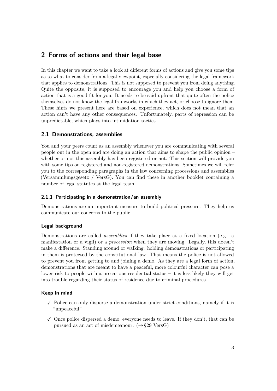# <span id="page-6-0"></span>**2 Forms of actions and their legal base**

In this chapter we want to take a look at different forms of actions and give you some tips as to what to consider from a legal viewpoint, especially considering the legal framework that applies to demonstrations. This is not supposed to prevent you from doing anything. Quite the opposite, it is supposed to encourage you and help you choose a form of action that is a good fit for you. It needs to be said upfront that quite often the police themselves do not know the legal framworks in which they act, or choose to ignore them. These hints we present here are based on experience, which does not mean that an action can't have any other consequences. Unfortunately, parts of repression can be unpredictable, which plays into intimidation tactics.

# <span id="page-6-1"></span>**2.1 Demonstrations, assemblies**

You and your peers count as an assembly whenever you are communicating with several people out in the open and are doing an action that aims to shape the public opinion – whether or not this assembly has been registered or not. This section will provide you with some tips on registered and non-registered demonstrations. Sometimes we will refer you to the corresponding paragraphs in the law concerning processions and assemblies (Versammlungsgesetz / VersG). You can find these in another booklet containing a number of legal statutes at the legal team.

# <span id="page-6-2"></span>**2.1.1 Participating in a demonstration/an assembly**

Demonstrations are an important measure to build political pressure. They help us communicate our concerns to the public.

# **Legal background**

Demonstrations are called *assemblies* if they take place at a fixed location (e.g. a manifestation or a vigil) or a *procession* when they are moving. Legally, this doesn't make a difference. Standing around or walking: holding demonstrations or participating in them is protected by the constitutional law. That means the police is not allowed to prevent you from getting to and joining a demo. As they are a legal form of action, demonstrations that are meant to have a peaceful, more colourful character can pose a lower risk to people with a precarious residential status  $-$  it is less likely they will get into trouble regarding their status of residence due to criminal procedures.

#### **Keep in mind**

- $\checkmark$  Police can only disperse a demonstration under strict conditions, namely if it is "unpeaceful"
- $\checkmark$  Once police dispersed a demo, everyone needs to leave. If they don't, that can be pursued as an act of misdemeanour.  $(\rightarrow \S 29 \text{ VersG})$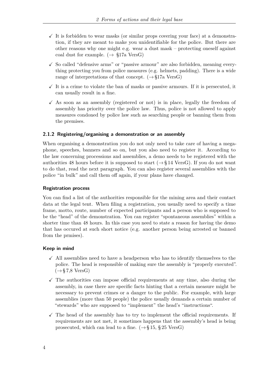- $\checkmark$  It is forbidden to wear masks (or similar props covering your face) at a demonstration, if they are meant to make you unidentifiable for the police. But there are other reasons why one might e.g. wear a dust mask – protecting oneself against coal dust for example.  $(\rightarrow \S 17a \text{ VersG})$
- $\checkmark$  So called "defensive arms" or "passive armour" are also forbidden, meaning everything protecting you from police measures (e.g. helmets, padding). There is a wide range of interpretations of that concept.  $(\rightarrow \S 17a \text{ VersG})$
- $\checkmark$  It is a crime to violate the ban of masks or passive armours. If it is persecuted, it can usually result in a fine.
- $\checkmark$  As soon as an assembly (registered or not) is in place, legally the freedom of assembly has priority over the police law. Thus, police is not allowed to apply measures condoned by police law such as searching people or banning them from the premises.

#### <span id="page-7-0"></span>**2.1.2 Registering/organising a demonstration or an assembly**

When organising a demonstration you do not only need to take care of having a megaphone, speeches, banners and so on, but you also need to register it. According to the law concerning processions and assemblies, a demo needs to be registered with the authorities 48 hours before it is supposed to start  $(\rightarrow \S 14 \text{ Vers})$ . If you do not want to do that, read the next paragraph. You can also register several assemblies with the police "in bulk" and call them off again, if your plans have changed.

#### **Registration process**

You can find a list of the authorities responsible for the mining area and their contact data at the legal tent. When filing a registration, you usually need to specify a time frame, motto, route, number of expected participants and a person who is supposed to be the "head" of the demonstration. You can register "spontaneous assemblies" within a shorter time than 48 hours. In this case you need to state a reason for having the demo that has occured at such short notice (e.g. another person being arrested or banned from the prmises).

#### **Keep in mind**

- $\checkmark$  All assemblies need to have a headperson who has to identify themselves to the police. The head is responsible of making sure the assembly is "properly executed".  $(\rightarrow \S 7.8 \text{ VersG})$
- $\checkmark$  The authorities can impose official requirements at any time, also during the assembly, in case there are specific facts hinting that a certain measure might be necessary to prevent crimes or a danger to the public. For example, with large assemblies (more than 50 people) the police usually demands a certain number of "stewards" who are supposed to "implement" the head's "instructions".
- $\checkmark$  The head of the assembly has to try to implement the official requirements. If requirements are not met, it sometimes happens that the assembly's head is being prosecuted, which can lead to a fine.  $(\rightarrow \S 15, \S 25 \text{ VersG})$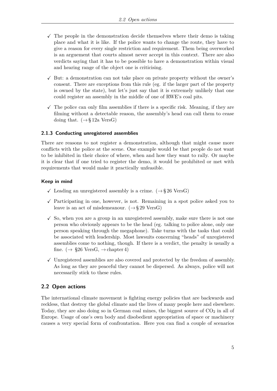- $\checkmark$  The people in the demonstration decide themselves where their demo is taking place and what it is like. If the police wants to change the route, they have to give a reason for every single restriction and requirement. Them being overworked is an arguement that courts almost never accept in this context. There are also verdicts saying that it has to be possible to have a demonstration within visual and hearing range of the object one is criticising.
- $\checkmark$  But: a demonstration can not take place on private property without the owner's consent. There are exceptions from this rule (eg. if the larger part of the property is owned by the state), but let's just say that it is extremely unlikely that one could register an assembly in the middle of one of RWE's coal pits.
- $\checkmark$  The police can only film assemblies if there is a specific risk. Meaning, if they are filming without a detectable reason, the assembly's head can call them to cease doing that.  $(\rightarrow \S 12a \text{ VersG})$

# <span id="page-8-0"></span>**2.1.3 Conducting unregistered assemblies**

There are reasons to not register a demonstration, although that might cause more conflicts with the police at the scene. One example would be that people do not want to be inhibited in their choice of where, when and how they want to rally. Or maybe it is clear that if one tried to register the demo, it would be prohibited or met with requirements that would make it practically unfeasible.

#### **Keep in mind**

- $\checkmark$  Leading an unregistered assembly is a crime. ( $\rightarrow$ §26 VersG)
- $\checkmark$  Participating in one, however, is not. Remaining in a spot police asked you to leave is an act of misdemeanour.  $(\rightarrow \S 29 \text{ VersG})$
- $\checkmark$  So, when you are a group in an unregistered assembly, make sure there is not one person who obviously appears to be the head (eg. talking to police alone, only one person speaking through the megaphone). Take turns with the tasks that could be associated with leadership. Most lawsuits concerning "heads" of unregistered assemblies come to nothing, though. If there is a verdict, the penalty is usually a fine.  $(\rightarrow \S 26 \text{ VersG}, \rightarrow \text{chapter 4})$
- $\checkmark$  Unregistered assemblies are also covered and protected by the freedom of assembly. As long as they are peaceful they cannot be dispersed. As always, police will not necessarily stick to these rules.

# <span id="page-8-1"></span>**2.2 Open actions**

The international climate movement is fighting energy policies that are backwards and reckless, that destroy the global climate and the lives of many people here and elsewhere. Today, they are also doing so in German coal mines, the biggest source of  $CO<sub>2</sub>$  in all of Europe. Usage of one's own body and disobedient appropriation of space or machinery causes a very special form of confrontation. Here you can find a couple of scenarios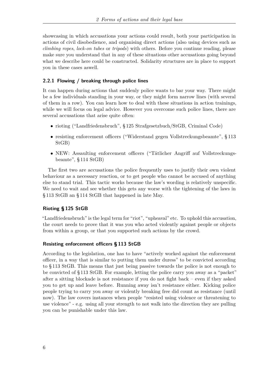showcasing in which accusations your actions could result, both your participation in actions of civil disobedience, and organising direct actions (also using devices such as *climbing ropes*, *lock-on tubes* or *tripods*) with others. Before you continue reading, please make sure you understand that in any of these situations other accusations going beyond what we describe here could be constructed. Solidarity structures are in place to support you in these cases aswell.

#### <span id="page-9-0"></span>**2.2.1 Flowing / breaking through police lines**

It can happen during actions that suddenly police wants to bar your way. There might be a few individuals standing in your way, or they might form narrow lines (with several of them in a row). You can learn how to deal with these situations in action trainings, while we will focus on legal advice. However you overcome such police lines, there are several accusations that arise quite often:

- rioting ("Landfriedensbruch", § 125 Strafgesetzbuch/StGB, Criminal Code)
- resisting enforcement officers ("Widerstand gegen Vollstreckungsbeamte", § 113 StGB)
- NEW: Assaulting enforcement officers ("Tätlicher Angriff auf Vollstreckungsbeamte", § 114 StGB)

The first two are accusations the police frequently uses to justify their own violent behaviour as a necessary reaction, or to get people who cannot be accused of anything else to stand trial. This tactic works because the law's wording is relatively unspecific. We need to wait and see whether this gets any worse with the tightening of the laws in § 113 StGB an § 114 StGB that happened in late May.

# **Rioting § 125 StGB**

"Landfriedensbruch" is the legal term for "riot", "upheaval" etc. To uphold this accusation, the court needs to prove that it was you who acted violently against people or objects from within a group, or that you supported such actions by the crowd.

#### **Resisting enforcement officers § 113 StGB**

According to the legislation, one has to have "actively worked against the enforcement officer, in a way that is similar to putting them under duress" to be convicted according to § 113 StGB. This means that just being passive towards the police is not enough to be convicted of § 113 StGB. For example, letting the police carry you away as a "packet" after a sitting blockade is not resistance if you do not fight back – even if they asked you to get up and leave before. Running away isn't resistance either. Kicking police people trying to carry you away or violently breaking free did count as resistance (until now). The law covers instances when people "resisted using violence or threatening to use violence" - e.g. using all your strength to not walk into the direction they are pulling you can be punishable under this law.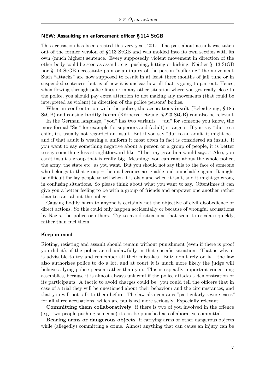#### **NEW: Assaulting an enforcement officer § 114 StGB**

This accusation has been created this very year, 2017. The part about assault was taken out of the former version of § 113 StGB and was molded into its own section with its own (much higher) sentence. Every supposedly violent movement in direction of the other body could be seen as assault, e.g. pushing, hitting or kicking. Neither § 113 StGB nor § 114 StGB necessitate pain or an injury of the person "suffering" the movement. Such "attacks" are now supposed to result in at least three months of jail time or in suspended sentences, but as of now it is unclear how all that is going to pan out. Hence, when flowing through police lines or in any other situation where you get really close to the police, you should pay extra attention to not making any movements (that could be interpreted as violent) in direction of the police persons' bodies.

When in confrontation with the police, the accusations **insult** (Beleidigung, § 185 StGB) and causing **bodily harm** (Körperverletzung, § 223 StGB) can also be relevant.

In the German language, "you" has two variants – "du" for someone you know, the more formal "Sie" for example for superiors and (adult) strangers. If you say "du" to a child, it's usually not regarded an insult. But if you say "du" to an adult, it might be – and if that adult is wearing a uniform it most often in fact is considered an insult. If you want to say something negative about a person or a group of people, it is better to say something less straightforward like: "I bet my grandma would say..." Also, you can't insult a group that is really big. Meaning: you can rant about the whole police, the army, the state etc. as you want. But you should not say this to the face of someone who belongs to that group – then it becomes assignable and punishable again. It might be difficult for lay people to tell when it is okay and when it isn't, and it might go wrong in confusing situations. So please think about what you want to say. Oftentimes it can give you a better feeling to be with a group of friends and empower one another rather than to rant about the police.

Causing bodily harm to anyone is certainly not the objective of civil disobedience or direct actions. So this could only happen accidentally or because of wrongful accusations by Nazis, the police or others. Try to avoid situations that seem to escalate quickly, rather than fuel them.

#### **Keep in mind**

Rioting, resisting and assault should remain without punishment (even if there is proof you did it), if the police acted unlawfully in that specific situation. That is why it is advisable to try and remember all their mistakes. But: don't rely on it – the law also authorizes police to do a lot, and at court it is much more likely the judge will believe a lying police person rather than you. This is espcially important concerning assemblies, because it is almost always unlawful if the police attacks a demonstration or its participants. A tactic to avoid charges could be: you could tell the officers that in case of a trial they will be questioned about their behaviour and the circumstances, and that you will not talk to them before. The law also contains "particularly severe cases" for all three accusations, which are punished more seriously. Especially relevant:

**Committing them collaboratively**: if there is two of you involved in the offence (e.g. two people pushing someone) it can be punished as collaborative committal.

**Bearing arms or dangerous objects**: if carrying arms or other dangerous objects while (allegedly) committing a crime. Almost anything that can cause an injury can be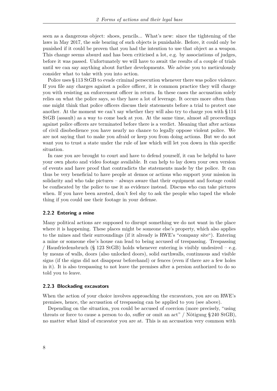seen as a dangerous object: shoes, pencils... What's new: since the tightening of the laws in May 2017, the sole bearing of such objects is punishable. Before, it could only be punished if it could be proven that you had the intention to use that object as a weapon. This change seems absurd and has been criticised a lot, e.g. by associations of judges, before it was passed. Unfortunately we will have to await the results of a couple of trials until we can say anything about further developments. We advise you to meticulously consider what to take with you into action.

Police uses § 113 StGB to evade criminal persecution whenever there was police violence. If you file any charges against a police officer, it is common practice they will charge you with resisting an enforcement officer in return. In these cases the accusation solely relies on what the police says, so they have a lot of leverage. It occurs more often than one might think that police officers discuss their statements before a trial to protect one another. At the moment we can't say whether they will also try to charge you with § 114 StGB (assault) as a way to come back at you. At the same time, almost all proceedings against police officers are terminated before there is a verdict. Meaning that after actions of civil disobedience you have nearly no chance to legally oppose violent police. We are not saying that to make you afraid or keep you from doing actions. But we do not want you to trust a state under the rule of law which will let you down in this specific situation.

In case you are brought to court and have to defend yourself, it can be helpful to have your own photo and video footage available. It can help to lay down your own version of events and have proof that contradicts the statements made by the police. It can thus be very beneficial to have people at demos or actions who support your mission in solidarity and who take pictures – always aware that their equipment and footage could be confiscated by the police to use it as evidence instead. Discuss who can take pictures when. If you have been arested, don't feel shy to ask the people who taped the whole thing if you could use their footage in your defense.

#### <span id="page-11-0"></span>**2.2.2 Entering a mine**

Many political actions are supposed to disrupt something we do not want in the place where it is happening. These places might be someone else's property, which also applies to the mines and their surroundings (if it already is RWE's "company site"). Entering a mine or someone else's house can lead to being accused of trespassing. Trespassing / Hausfriedensbruch (§ 123 StGB) holds whenever entering is visibly undesired  $-$  e.g. by means of walls, doors (also unlocked doors), solid earthwalls, continuous and visible signs (if the signs did not disappear beforehand) or fences (even if there are a few holes in it). It is also trespassing to not leave the premises after a persion authorized to do so told you to leave.

#### <span id="page-11-1"></span>**2.2.3 Blockading excavators**

When the action of your choice involves approaching the excavators, you are on RWE's premises, hence, the accusation of trespassing can be applied to you (see above).

Depending on the situation, you could be accused of coercion (more precisely, "using threats or force to cause a person to do, suffer or omit an act" / Nötigung § 240 StGB), no matter what kind of excavator you are at. This is an accusation very common with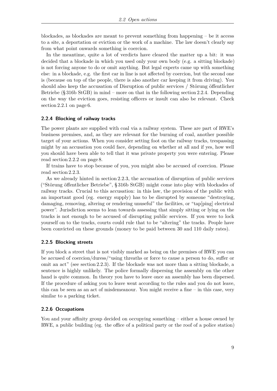blockades, as blockades are meant to prevent something from happening – be it access to a site, a deportation or eviction or the work of a machine. The law doesn't clearly say from what point onwards something is coercion.

In the meantime, quite a lot of verdicts have cleared the matter up a bit: it was decided that a blockade in which you used only your own body (e.g. a sitting blockade) is not forcing anyone to do or omit anything. But legal experts came up with something else: in a blockade, e.g. the first car in line is not affected by coercion, but the second one is (because on top of the people, there is also another car keeping it from driving). You should also keep the accusation of Disruption of public services / Störung öffentlicher Betriebe  $(\S 316b \text{ StGB})$  in mind – more on that in the following section [2.2.4.](#page-12-0) Depending on the way the eviction goes, resisting officers or insult can also be relevant. Check section [2.2.1](#page-9-0) on page [6.](#page-9-0)

#### <span id="page-12-0"></span>**2.2.4 Blocking of railway tracks**

The power plants are supplied with coal via a railway system. These are part of RWE's business premises, and, as they are relevant for the burning of coal, another possible target of your actions. When you consider setting foot on the railway tracks, trespassing might by an accusation you could face, depending on whether at all and if yes, how well you should have been able to tell that it was private property you were entering. Please read section [2.2.2](#page-11-0) on page [8.](#page-11-0)

If trains have to stop because of you, you might also be accused of coercion. Please read section [2.2.3.](#page-11-1)

As we already hinted in section [2.2.3,](#page-11-1) the accusation of disruption of public services ("Störung öffentlicher Betriebe", § 316b StGB) might come into play with blockades of railway tracks. Crucial to this accusation: in this law, the provision of the public with an important good (eg. energy supply) has to be disrupted by someone "destroying, damaging, removing, altering or rendering unuseful" the facilities, or "tap[ping] electrical power". Jurisdiction seems to lean towards assessing that simply sitting or lying on the tracks is not enough to be accused of disrupting public services. If you were to lock yourself on to the tracks, courts could rule that to be "altering" the tracks. People have been convicted on these grounds (money to be paid between 30 and 110 daily rates).

#### <span id="page-12-1"></span>**2.2.5 Blocking streets**

If you block a street that is not visibly marked as being on the premises of RWE you can be accused of coercion/duress/"using threaths or force to cause a person to do, suffer or omit an act" (see section [2.2.3\)](#page-11-1). If the blockade was not more than a sitting blockade, a sentence is highly unlikely. The police formally dispersing the assembly on the other hand is quite common. In theory you have to leave once an assembly has been dispersed. If the procedure of asking you to leave went according to the rules and you do not leave, this can be seen as an act of misdemeanour. You might receive a fine – in this case, very similar to a parking ticket.

#### <span id="page-12-2"></span>**2.2.6 Occupations**

You and your affinity group decided on occupying something – either a house owned by RWE, a public building (eg. the office of a political party or the roof of a police station)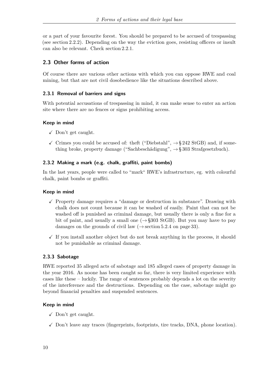or a part of your favourite forest. You should be prepared to be accused of trespassing (see section [2.2.2\)](#page-11-0). Depending on the way the eviction goes, resisting officers or insult can also be relevant. Check section [2.2.1.](#page-9-0)

# <span id="page-13-0"></span>**2.3 Other forms of action**

Of course there are various other actions with which you can oppose RWE and coal mining, but that are not civil dosobedience like the situations described above.

# <span id="page-13-1"></span>**2.3.1 Removal of barriers and signs**

With potential accusations of trespassing in mind, it can make sense to enter an action site where there are no fences or signs prohibiting access.

# **Keep in mind**

- $\checkmark$  Don't get caught.
- $\checkmark$  Crimes you could be accused of: theft ("Diebstahl",  $\rightarrow$ §242 StGB) and, if something broke, property damage ("Sachbeschädigung",  $\rightarrow$  § 303 Strafgesetzbuch).

# <span id="page-13-2"></span>**2.3.2 Making a mark (e.g. chalk, graffiti, paint bombs)**

In the last years, people were called to "mark" RWE's infrastructure, eg. with colourful chalk, paint bombs or graffiti.

# **Keep in mind**

- $\checkmark$  Property damage requires a "damage or destruction in substance". Drawing with chalk does not count because it can be washed of easily. Paint that can not be washed off is punished as criminal damage, but usually there is only a fine for a bit of paint, and usually a small one  $(\rightarrow$  §303 StGB). But you may have to pay damages on the grounds of civil law  $(\rightarrow$  section [5.2.4](#page-36-0) on page [33\)](#page-36-0).
- $\checkmark$  If you install another object but do not break anything in the process, it should not be punishable as criminal damage.

# <span id="page-13-3"></span>**2.3.3 Sabotage**

RWE reported 35 alleged acts of sabotage and 185 alleged cases of property damage in the year 2016. As noone has been caught so far, there is very limited experience with cases like these – luckily. The range of sentences probably depends a lot on the severity of the interference and the destructions. Depending on the case, sabotage might go beyond financial penalties and suspended sentences.

# **Keep in mind**

- $\checkmark$  Don't get caught.
- $\checkmark$  Don't leave any traces (fingerprints, footprints, tire tracks, DNA, phone location).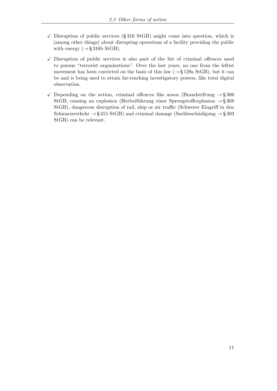- $\checkmark$  Disruption of public services (§ 316 StGB) might come into question, which is (among other things) about disrupting operations of a facility providing the public with energy  $(\rightarrow \S 316b \text{ StGB}).$
- $\checkmark$  Disruption of public services is also part of the list of criminal offences used to pursue "terrorist organizations". Over the last years, no one from the leftist movement has been convicted on the basis of this law  $(\rightarrow \S 129a \text{ StGB})$ , but it can be and is being used to attain far-reaching investigatory powers, like total digital observation.
- $\checkmark$  Depending on the action, criminal offences like arson (Brandstiftung  $\rightarrow$ §306 StGB, causing an explosion (Herbeiführung einer Sprengstoffexplosion  $\rightarrow$ § 308 StGB), dangerous disruption of rail, ship or air traffic (Schwerer Eingriff in den Schienenverkehr  $\rightarrow$  § 315 StGB) and criminal damage (Sachbeschädigung  $\rightarrow$  § 303 StGB) can be relevant.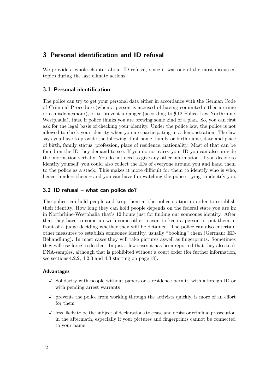# <span id="page-15-0"></span>**3 Personal identification and ID refusal**

We provide a whole chapter about ID refusal, since it was one of the most discussed topics during the last climate actions.

# <span id="page-15-1"></span>**3.1 Personal identification**

The police can try to get your personal data either in accordance with the German Code of Criminal Procedure (when a person is accused of having commited either a crime or a misdemeanour), or to prevent a danger (according to § 12 Police-Law Northrhine-Westphalia), thus, if police thinks you are brewing some kind of a plan. So, you can first ask for the legal basis of checking your identity. Under the police law, the police is not allowed to check your identity when you are participating in a demonstration. The law says you have to provide the following: first name, family or birth name, date and place of birth, family status, profession, place of residence, nationality. Most of that can be found on the ID they demand to see. If you do not carry your ID you can also provide the information verbally. You do not need to give any other information. If you decide to identify yourself, you could also collect the IDs of everyone around you and hand them to the police as a stack. This makes it more difficult for them to identify who is who, hence, hinders them – and you can have fun watching the police trying to identify you.

# <span id="page-15-2"></span>**3.2 ID refusal – what can police do?**

The police can hold people and keep them at the police station in order to establish their identity. How long they can hold people depends on the federal state you are in: in Northrhine-Westphalia that's 12 hours just for finding out someones identity. After that they have to come up with some other reason to keep a person or put them in front of a judge deciding whether they will be detained. The police can also entertain other measures to establish someones identity, usually "booking" them (German: ED-Behandlung). In most cases they will take pictures aswell as fingerprints. Sometimes they will use force to do that. In just a few cases it has been reported that they also took DNA-samples, although that is prohibited without a court order (for further information, see sections [4.2.2,](#page-21-0) [4.2.3](#page-21-1) and [4.3](#page-22-0) starting on page [18\)](#page-21-0).

#### **Advantages**

- $\checkmark$  Solidarity with people without papers or a residence permit, with a foreign ID or with pending arrest warrants
- $\checkmark$  prevents the police from working through the activists quickly, is more of an effort for them
- $\checkmark$  less likely to be the subject of declarations to cease and desist or criminal prosecution in the aftermath, especially if your pictures and fingerprints cannot be connected to your name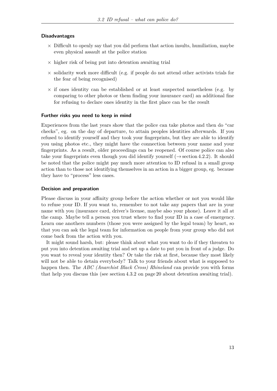#### **Disadvantages**

- $\times$  Difficult to openly say that you did perform that action insults, humiliation, maybe even physical assault at the police station
- $\times$  higher risk of being put into detention awaiting trial
- $\times$  solidarity work more difficult (e.g. if people do not attend other activists trials for the fear of being recognised)
- $\times$  if ones identity can be established or at least suspected nonetheless (e.g. by comparing to other photos or them finding your insurance card) an additional fine for refusing to declare ones identity in the first place can be the result

#### **Further risks you need to keep in mind**

Experiences from the last years show that the police can take photos and then do "car checks", eg. on the day of departure, to attain peoples identities afterwards. If you refused to identify yourself and they took your fingerprints, but they are able to identify you using photos etc., they might have the connection between your name and your fingerprints. As a result, older proceedings can be reopened. Of course police can also take your fingerprints even though you did identify yourself ( $\rightarrow$  section [4.2.2\)](#page-21-0). It should be noted that the police might pay much more attention to ID refusal in a small group action than to those not identifying themselves in an action in a bigger group, eg. because they have to "process" less cases.

#### **Decision and preparation**

Please discuss in your affinity group before the action whether or not you would like to refuse your ID. If you want to, remember to not take any papers that are in your name with you (insurance card, driver's license, maybe also your phone). Leave it all at the camp. Maybe tell a person you trust where to find your ID in a case of emergency. Learn one anothers numbers (those you were assigned by the legal team) by heart, so that you can ask the legal team for information on people from your group who did not come back from the action with you.

It might sound harsh, but: please think about what you want to do if they threaten to put you into detention awaiting trial and set up a date to put you in front of a judge. Do you want to reveal your identity then? Or take the risk at first, because they most likely will not be able to detain everybody? Talk to your friends about what is supposed to happen then. The *ABC (Anarchist Black Cross) Rhineland* can provide you with forms that help you discuss this (see section [4.3.2](#page-23-0) on page [20](#page-23-0) about detention awaiting trial).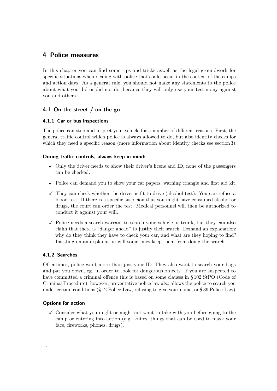# <span id="page-17-0"></span>**4 Police measures**

In this chapter you can find some tips and tricks aswell as the legal groundwork for specific situations when dealing with police that could occur in the context of the camps and action days. As a general rule, you should not make any statements to the police about what you did or did not do, becauce they will only use your testimony against you and others.

# <span id="page-17-1"></span>**4.1 On the street / on the go**

# <span id="page-17-2"></span>**4.1.1 Car or bus inspections**

The police can stop and inspect your vehicle for a number of different reasons. First, the general traffic control which police is always allowed to do, but also identity checks for which they need a specific reason (more information about identity checks see section [3\)](#page-15-0).

# **During traffic controls, always keep in mind:**

- $\checkmark$  Only the driver needs to show their driver's licens and ID, none of the passengers can be checked.
- $\checkmark$  Police can demand you to show your car papers, warning triangle and first aid kit.
- $\checkmark$  They can check whether the driver is fit to drive (alcohol test). You can refuse a blood test. If there is a specific suspicion that you might have consumed alcohol or drugs, the court can order the test. Medical personnel will then be authorized to conduct it against your will.
- $\checkmark$  Police needs a search warrant to search your vehicle or trunk, but they can also claim that there is "danger ahead" to justify their search. Demand an explanation: why do they think they have to check your car, and what are they hoping to find? Insisting on an explanation will sometimes keep them from doing the search.

# <span id="page-17-3"></span>**4.1.2 Searches**

Oftentimes, police want more than just your ID. They also want to search your bags and pat you down, eg. in order to look for dangerous objects. If you are suspected to have committed a criminal offence this is based on some clauses in § 102 StPO (Code of Criminal Procedure), however, preventative police law also allows the police to search you under certain conditions (§ 12 Police-Law, refusing to give your name, or § 39 Police-Law).

# **Options for action**

 $\checkmark$  Consider what you might or might not want to take with you before going to the camp or entering into action (e.g. knifes, things that can be used to mask your face, fireworks, phones, drugs).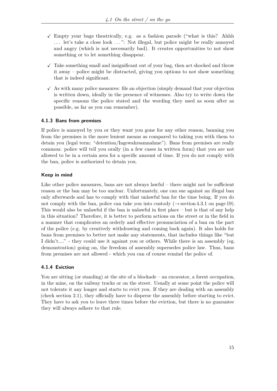- $\checkmark$  Empty your bags theatrically, e.g. as a fashion parade ("what is this? Ahhh . . . let's take a close look . . . ": Not illegal, but police might be really annoyed and angry (which is not necessarily bad). It creates opportunities to not show something or to let something disappear.
- $\checkmark$  Take something small and insignificant out of your bag, then act shocked and throw it away – police might be distracted, giving you options to not show something that is indeed significant.
- $\checkmark$  As with many police measures: file an objection (simply demand that your objection is written down, ideally in the presence of witnesses. Also try to write down the specific reasons the police stated and the wording they used as soon after as possible, as far as you can remember).

# <span id="page-18-0"></span>**4.1.3 Bans from premises**

If police is annoyed by you or they want you gone for any other reason, banning you from the premises is the more lenient means as compared to taking you with them to detain you (legal term: "detention/Ingewahrsamnahme"). Bans from premises are really common: police will tell you orally (in a few cases in written form) that you are not allowed to be in a certain area for a specific amount of time. If you do not comply with the ban, police is authorized to detain you.

# **Keep in mind**

Like other police measures, bans are not always lawful – there might not be sufficient reason or the ban may be too unclear. Unfortunately, one can sue against an illegal ban only afterwards and has to comply with that unlawful ban for the time being. If you do not comply with the ban, police can take you into custody ( $\rightarrow$  section [4.3.1](#page-22-1) on page [19\)](#page-22-1). This would also be unlawful if the ban is unlawful in first place – but is that of any help in this situation? Therefore, it is better to perform actions on the street or in the field in a manner that complicates an orderly and effective pronunciation of a ban on the part of the police (e.g. by creatively withdrawing and coming back again). It also holds for bans from premises to better not make any statements, that includes things like "but I didn't...." - they could use it against you or others. While there is an assembly (eg. demonstration) going on, the freedom of assembly supersedes police law. Thus, bans from premises are not allowed - which you can of course remind the police of.

# <span id="page-18-1"></span>**4.1.4 Eviction**

You are sitting (or standing) at the site of a blockade – an excavator, a forest occupation, in the mine, on the railway tracks or on the street. Usually at some point the police will not tolerate it any longer and starts to evict you. If they are dealing with an assembly (check section 2.1), they officially have to disperse the assembly before starting to evict. They have to ask you to leave three times before the eviction, but there is no guarantee they will always adhere to that rule.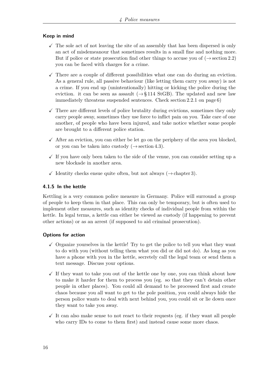# **Keep in mind**

- $\checkmark$  The sole act of not leaving the site of an assembly that has been dispersed is only an act of misdemeanour that sometimes results in a small fine and nothing more. But if police or state prosecution find other things to accuse you of  $(\rightarrow \arcsin 2.2)$  $(\rightarrow \arcsin 2.2)$ you can be faced with charges for a crime.
- $\checkmark$  There are a couple of different possibilities what one can do during an eviction. As a general rule, all passive behaviour (like letting them carry you away) is not a crime. If you end up (unintentionally) hitting or kicking the police during the eviction. it can be seen as assault  $(\rightarrow \S 114 \text{ StGB})$ . The updated and new law immediately threatens suspended sentences. Check section [2.2.1](#page-9-0) on page [6\)](#page-9-0)
- $\checkmark$  There are different levels of police brutality during evictions, sometimes they only carry people away, sometimes they use force to inflict pain on you. Take care of one another, of people who have been injured, and take notice whether some people are brought to a different police station.
- $\checkmark$  After an eviction, you can either be let go on the periphery of the area you blocked, or you can be taken into custody  $(\rightarrow \arctan 4.3)$  $(\rightarrow \arctan 4.3)$ .
- $\checkmark$  If you have only been taken to the side of the venue, you can consider setting up a new blockade in another area.
- $\checkmark$  Identity checks ensue quite often, but not always ( $\to$  chapter [3\)](#page-15-0).

#### <span id="page-19-0"></span>**4.1.5 In the kettle**

Kettling is a very common police measure in Germany. Police will surround a group of people to keep them in that place. This can only be temporary, but is often used to implement other measures, such as identity checks of individual people from within the kettle. In legal terms, a kettle can either be viewed as custody (if happening to prevent other actions) or as an arrest (if supposed to aid criminal prosecution).

#### **Options for action**

- $\checkmark$  Organize yourselves in the kettle! Try to get the police to tell you what they want to do with you (without telling them what you did or did not do). As long as you have a phone with you in the kettle, secretely call the legal team or send them a text message. Discuss your options.
- $\checkmark$  If they want to take you out of the kettle one by one, you can think about how to make it harder for them to process you (eg. so that they can't detain other people in other places). You could all demand to be processed first and create chaos because you all want to get to the pole position, you could always hide the person police wants to deal with next behind you, you could sit or lie down once they want to take you away.
- $\checkmark$  It can also make sense to not react to their requests (eg. if they want all people who carry IDs to come to them first) and instead cause some more chaos.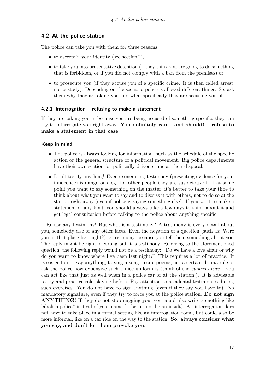# <span id="page-20-0"></span>**4.2 At the police station**

The police can take you with them for three reasons:

- to ascertain your identity (see section [2\)](#page-6-0),
- to take you into preventative detention (if they think you are going to do something that is forbidden, or if you did not comply with a ban from the premises) or
- to prosecute you (if they accuse you of a specific crime. It is then called arrest, not custody). Depending on the scenario police is allowed different things. So, ask them why they ar taking you and what specifically they are accusing you of.

# <span id="page-20-1"></span>**4.2.1 Interrogation – refusing to make a statement**

If they are taking you in because you are being accused of something specific, they can try to interrogate you right away. **You definitely can – and should! - refuse to make a statement in that case**.

#### **Keep in mind**

- The police is always looking for information, such as the schedule of the specific action or the general structure of a political movement. Big police departments have their own section for politically driven crime at their disposal.
- Don't testify anything! Even exonerating testimony (presenting evidence for your innocence) is dangerous, eg. for other people they are suspicious of. If at some point you want to say something on the matter, it's better to take your time to think about what you want to say and to discuss it with others, not to do so at the station right away (even if police is saying something else). If you want to make a statement of any kind, you should always take a few days to think about it and get legal consultation before talking to the police about anything specific.

Refuse any testimony! But what is a testimony? A testimony is every detail about you, somebody else or any other facts. Even the negation of a question (such as: Were you at that place last night?) is testimony, because you tell them something about you. The reply might be right or wrong but it is testimony. Referring to the aforementioned question, the following reply would not be a testimony: "Do we have a love affair or why do you want to know where I've been last night?" This requires a lot of practice. It is easier to not say anything, to sing a song, recite poems, act a certain drama role or ask the police how expensive such a nice uniform is (think of the *clowns army* – you can act like that just as well when in a police car or at the station!). It is advisable to try and practice role-playing before. Pay attention to accidental testimonies during such exercises. You do not have to sign anything (even if they say you have to). No mandatory signature, even if they try to force you at the police station. **Do not sign ANYTHING!** If they do not stop nagging you, you could also write something like "abolish police" instead of your name (it better not be an insult). An interrogation does not have to take place in a formal setting like an interrogation room, but could also be more informal, like on a car ride on the way to the station. **So, always consider what you say, and don't let them provoke you**.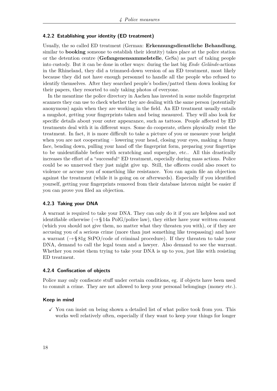#### <span id="page-21-0"></span>**4.2.2 Establishing your identity (ED treatment)**

Usually, the so called ED treatment (German: **Erkennungsdienstliche Behandlung**, similar to **booking** someone to establish their identity) takes place at the police station or the detention centre (**Gefangenensammelstelle**, GeSa) as part of taking people into custody. But it can be done in other ways: during the last big *Ende Gelände*-actions in the Rhineland, they did a trimmed-down version of an ED treatment, most likely because they did not have enough personnel to handle all the people who refused to identify themselves. After they searched people's bodies/patted them down looking for their papers, they resorted to only taking photos of everyone.

In the meantime the police directory in Aachen has invested in some mobile fingerprint scanners they can use to check whether they are dealing with the same person (potentially anonymous) again when they are working in the field. An ED treatment usually entails a mugshot, getting your fingerprints taken and being measured. They will also look for specific details about your outer appearance, such as tattoos. People affected by ED treatments deal with it in different ways. Some do cooperate, others physically resist the treatment. In fact, it is more difficult to take a picture of you or measure your height when you are not cooperating – lowering your head, closing your eyes, making a funny face, bending down, pulling your hand off the fingerprint form, preparing your fingertips to be unidentifiable before with scratching and superglue, etc.. All this drastically increases the effort of a "successful" ED treatment, especially during mass actions. Police could be so unnerved they just might give up. Still, the officers could also resort to violence or accuse you of something like resistance. You can again file an objection against the treatment (while it is going on or afterwards). Especially if you identified yourself, getting your fingerprints removed from their database lateron might be easier if you can prove you filed an objection.

#### <span id="page-21-1"></span>**4.2.3 Taking your DNA**

A warrant is required to take your DNA. They can only do it if you are helpless and not identifiable otherwise  $(\rightarrow \S 14a \text{ PolG/police law})$ , they either have your written consent (which you should not give them, no matter what they threaten you with), or if they are accusing you of a serious crime (more than just something like trespassing) and have a warrant  $(\rightarrow$  § 81g StPO/code of criminal procedure). If they threaten to take your DNA, demand to call the legal team and a lawyer. Also demand to see the warrant. Whether you resist them trying to take your DNA is up to you, just like with resisting ED treatment.

#### <span id="page-21-2"></span>**4.2.4 Confiscation of objects**

Police may only confiscate stuff under certain conditions, eg. if objects have been used to commit a crime. They are not allowed to keep your personal belongings (money etc.).

#### **Keep in mind**

 $\checkmark$  You can insist on being shown a detailed list of what police took from you. This works well relatively often, especially if they want to keep your things for longer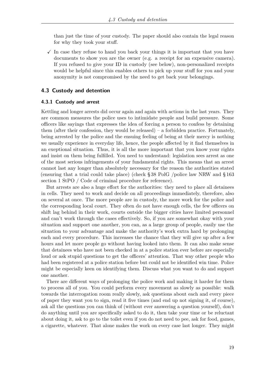than just the time of your custody. The paper should also contain the legal reason for why they took your stuff.

 $\checkmark$  In case they refuse to hand you back your things it is important that you have documents to show you are the owner (e.g. a receipt for an expensive camera). If you refused to give your ID in custody (see below), non-personalized receipts would be helpful since this enables others to pick up your stuff for you and your anonymity is not compromised by the need to get back your belongings.

#### <span id="page-22-0"></span>**4.3 Custody and detention**

#### <span id="page-22-1"></span>**4.3.1 Custody and arrest**

Kettling and longer arrests did occur again and again with actions in the last years. They are common measures the police uses to intimidate people and build pressure. Some officers like sayings that expresses the idea of forcing a person to confess by detaining them (after their confession, they would be released) – a forbidden practice. Fortunately, being arrested by the police and the ensuing feeling of being at their mercy is nothing we usually experience in everyday life, hence, the people affected by it find themselves in an exeptional situation. Thus, it is all the more important that you know your rights and insist on them being fulfilled. You need to understand: legislation sees arrest as one of the most serious infringements of your fundamental rights. This means that an arrest cannot last any longer than absolutely necessary for the reason the authorities stated (ensuring that a trial could take place) (check § 38 PolG /police law NRW and § 163 section 1 StPO / Code of criminal procedure for reference).

But arrests are also a huge effort for the authorities: they need to place all detainees in cells. They need to work and decide on all proceedings immediately, therefore, also on several at once. The more people are in custody, the more work for the police and the corresponding local court. They often do not have enough cells, the few officers on shift lag behind in their work, courts outside the bigger cities have limited personnel and can't work through the cases effectively. So, if you are somewhat okay with your situation and support one another, you can, as a large group of people, easily use the situation to your advantage and make the authority's work extra hard by prolonging each and every procedure. This increases the chance that they will give up after a few hours and let more people go without having looked into them. It can also make sense that detainees who have not been checked in at a police station ever before are especially loud or ask stupid questions to get the officers' attention. That way other people who had been registered at a police station before but could not be identified win time. Police might be especially keen on identifying them. Discuss what you want to do and support one another.

There are different ways of prolonging the police work and making it harder for them to process all of you. You could perform every movement as slowly as possible: walk towards the interrogation room really slowly, ask questions about each and every piece of paper they want you to sign, read it five times (and end up not signing it, of course), ask all the questions you can think of (without ever answering a question yourself), don't do anything until you are specifically asked to do it, then take your time or be reluctant about doing it, ask to go to the toilet even if you do not need to pee, ask for food, games, a cigarette, whatever. That alone makes the work on every case last longer. They might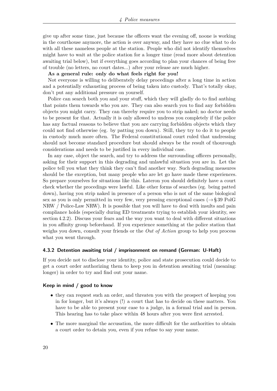give up after some time, just because the officers want the evening off, noone is working in the courthouse anymore, the action is over anyway, and they have no clue what to do with all these nameless people at the station. People who did not identify themselves might have to wait at the police station for a longer time (read more about detention awaiting trial below), but if everything goes according to plan your chances of being free of trouble (no letters, no court dates...) after your release are much higher.

**As a general rule: only do what feels right for you!**

Not everyone is willing to deliberately delay procedings after a long time in action and a potentially exhausting process of being taken into custody. That's totally okay, don't put any additional pressure on yourself.

Police can search both you and your stuff, which they will gladly do to find anthing that points them towards who you are. They can also search you to find any forbidden objects you might carry. They can thereby require you to strip naked; no doctor needs to be present for that. Actually it is only allowed to undress you completely if the police has any factual reasons to believe that you are carrying forbidden objects which they could not find otherwise (eg. by patting you down). Still, they try to do it to people in custody much more often. The Federal constitutional court ruled that undressing should not become standard procedure but should always be the result of thourough considerations and needs to be justified in every individual case.

In any case, object the search, and try to address the surrounding officers personally, asking for their support in this degrading and unlawful situation you are in. Let the police tell you what they think they can't find another way. Such degrading measures should be the exception, but many people who are let go have made these experiences. So prepare yourselves for situations like this. Lateron you should definitely have a court check whether the procedings were lawful. Like other forms of searches (eg. being patted down), having you strip naked in presence of a person who is not of the same biological sex as you is only permitted in very few, very pressing exceptional cases ( $\rightarrow$  § 39 PolG NRW / Police-Law NRW). It is possible that you will have to deal with insults and pain compliance holds (especially during ED treatments trying to establish your identity, see section [4.2.2\)](#page-21-0). Discuss your fears and the way you want to deal with different situations in you affinity group beforehand. If you experience something at the police station that weighs you down, consult your friends or the *Out of Action* group to help you process what you went through.

#### <span id="page-23-0"></span>**4.3.2 Detention awaiting trial / imprisonment on remand (German: U-Haft)**

If you decide not to disclose your identity, police and state prosecution could decide to get a court order authorizing them to keep you in detention awaiting trial (meaning: longer) in order to try and find out your name.

#### **Keep in mind / good to know**

- they can request such an order, and threaten you with the prospect of keeping you in for longer, but it's always (!) a court that has to decide on these matters. You have to be able to present your case to a judge, in a formal trial and in person. This hearing has to take place within 48 hours after you were first arrested.
- The more marginal the accusation, the more difficult for the authorities to obtain a court order to detain you, even if you refuse to say your name.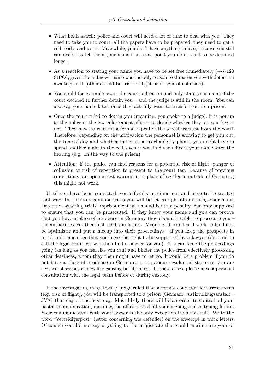- What holds as well: police and court will need a lot of time to deal with you. They need to take you to court, all the papers have to be prepared, they need to get a cell ready, and so on. Meanwhile, you don't have anything to lose, because you still can decide to tell them your name if at some point you don't want to be detained longer.
- As a reaction to stating your name you have to be set free immediately  $(\rightarrow \S 120$ StPO), given the unknown name was the only reason to threaten you with detention awaiting trial (others could be: risk of flight or danger of collusion).
- You could for example await the court's decision and only state your name if the court decided to further detain you – and the judge is still in the room. You can also say your name later, once they actually want to transfer you to a prison.
- Once the court ruled to detain you (meaning, you spoke to a judge), it is not up to the police or the law enforcement officers to decide whether they set you free or not. They have to wait for a formal repeal of the arrest warrant from the court. Therefore: depending on the motivation the personnel is showing to get you out, the time of day and whether the court is reachable by phone, you might have to spend another night in the cell, even if you told the officers your name after the hearing (e.g. on the way to the prison).
- Attention: if the police can find reasons for a potential risk of flight, danger of collusion or risk of repetition to present to the court (eg. because of previous convictions, an open arrest warrant or a place of residence outside of Germany) this might not work.

Until you have been convicted, you officially are innocent and have to be treated that way. In the most common cases you will be let go right after stating your name. Detention awaiting trial/ imprisonment on remand is not a penalty, but only supposed to ensure that you can be prosecuted. If they know your name and you can proove that you have a place of residence in Germany they should be able to prosecute you – the authorities can then just send you letters. Meaning, it could still work to hold out, be optimistic and put a hiccup into their proceedings – if you keep the prospects in mind and remember that you have the right to be supported by a lawyer (demand to call the legal team, we will then find a lawyer for you). You can keep the proceedings going (as long as you feel like you can) and hinder the police from effectively processing other detainees, whom they then might have to let go. It could be a problem if you do not have a place of residence in Germany, a precarious residential status or you are accused of serious crimes like causing bodily harm. In these cases, please have a personal consultation with the legal team before or during custody.

If the investigating magistrate / judge ruled that a formal condition for arrest exists (e.g. risk of flight), you will be transported to a prison (German: Justizvollzugsanstalt – JVA) that day or the next day. Most likely there will be an order to control all your postal communication, meaning the officers read all your ingoing and outgoing letters. Your communication with your lawyer is the only exception from this rule. Write the word "Verteidigerpost" (letter concerning the defender) on the envelope in thick letters. Of course you did not say anything to the magistrate that could incriminate your or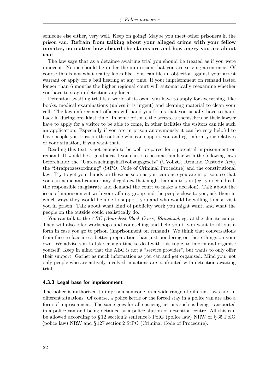someone else either, very well. Keep on going! Maybe you meet other prisoners in the prison van. **Refrain from talking about your alleged crime with your fellow inmates, no matter how absurd the claims are and how angry you are about that**.

The law says that as a detainee awaiting trial you should be treated as if you were innocent. Noone should be under the impression that you are serving a sentence. Of course this is not what reality looks like. You can file an objection against your arrest warrant or apply for a bail hearing at any time. If your imprisonment on remand lasted longer than 6 months the higher regional court will automatically reexamine whether you have to stay in detention any longer.

Detention awaiting trial is a world of its own: you have to apply for everything, like books, medical examinations (unless it is urgent) and cleaning material to clean your cell. The law enforcement officers will hand you forms that you usually have to hand back in during breakfast time. In some prisons, the arrestees themselves or their lawyer have to apply for a visitor to be able to come, in other facilities the visitors can file such an application. Especially if you are in prison anonymously it can be very helpful to have people you trust on the outside who can support you and eg. inform your relatives of your situation, if you want that.

Reading this text is not enough to be well-prepared for a potential imprisonment on remand. It would be a good idea if you chose to become familiar with the following laws beforehand: the "Untersuchungshaftvollzugsgesetz" (UVollzG, Remand Custody Act), the "Strafprozessordnung" (StPO, Code of Criminal Procedure) and the constitutional law. Try to get your hands on these as soon as you can once you are in prison, so that you can name and counter any illegal act that might happen to you (eg. you could call the responsible magistrate and demand the court to make a decision). Talk about the issue of imprisonment with your affinity group and the people close to you, ask them in which ways they would be able to support you and who would be willing to also visit you in prison. Talk about what kind of publicity work you might want, and what the people on the outside could realistically do.

You can talk to the *ABC (Anarchist Black Cross) Rhineland*, eg. at the climate camps. They will also offer workshops and counselling and help you if you want to fill out a form in case you go to prison (imprisonment on remand). We think that conversations from face to face are a better preparation than just pondering on these things on your own. We advise you to take enough time to deal with this topic, to inform and organise yourself. Keep in mind that the ABC is not a "service provider", but wants to only offer their support. Gather as much information as you can and get organised. Mind you: not only people who are actively involved in actions are confronted with detention awaiting trial.

#### <span id="page-25-0"></span>**4.3.3 Legal base for imprisonment**

The police is authorized to imprison someone on a wide range of different laws and in different situations. Of course, a police kettle or the forced stay in a police van are also a form of imprisonment. The same goes for all ensueing actions such as being transported in a police van and being detained at a police station or detention centre. All this can be allowed according to § 12 section 2 sentence 3 PolG (police law) NRW or § 35 PolG (police law) NRW and § 127 section 2 StPO (Criminal Code of Procedure).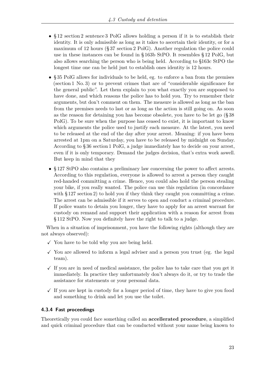- § 12 section 2 sentence 3 PolG allows holding a person if it is to establish their identity. It is only admissible as long as it takes to ascertain their identity, or for a maximum of 12 hours (§ 37 section 2 PolG). Another regulation the police could use in these instances can be found in § 163b StPO. It resembles § 12 PolG, but also allows searching the person who is being held. According to §163c StPO the longest time one can be held just to establish ones identity is 12 hours.
- § 35 PolG allows for individuals to be held, eg. to enforce a ban from the premises (section 1 No. 3) or to prevent crimes that are of "considerable significance for the general public". Let them explain to you what exactly you are supposed to have done, and which reasons the police has to hold you. Try to remember their arguments, but don't comment on them. The measure is allowed as long as the ban from the premises needs to last or as long as the action is still going on. As soon as the reason for detaining you has become obsolete, you have to be let go (§ 38 PolG). To be sure when the purpose has ceased to exist, it is important to know which arguments the police used to justify each measure. At the latest, you need to be released at the end of the day after your arrest. Meaning: if you have been arrested at 1pm on a Saturday, you have to be released by midnight on Sunday. According to § 36 section 1 PolG, a judge immediately has to decide on your arrest, even if it is only temporary. Demand the judges decision, that's extra work aswell. But keep in mind that they
- § 127 StPO also contains a preliminary law concerning the power to affect arrests. According to this regulation, everyone is allowed to arrest a person they caught red-handed committing a crime. Hence, you could also hold the person stealing your bike, if you really wanted. The police can use this regulation (in concordance with § 127 section 2) to hold you if they think they caught you committing a crime. The arrest can be admissible if it serves to open and conduct a criminal procedure. If police wants to detain you longer, they have to apply for an arrest warrant for custody on remand and support their application with a reason for arrest from § 112 StPO. Now you definitely have the right to talk to a judge.

When in a situation of imprisonment, you have the following rights (although they are not always observed):

- $\checkmark$  You have to be told why you are being held.
- $\checkmark$  You are allowed to inform a legal adviser and a person you trust (eg. the legal team).
- $\checkmark$  If you are in need of medical assistance, the police has to take care that you get it immediately. In practice they unfortunately don't always do it, or try to trade the assistance for statements or your personal data.
- $\checkmark$  If you are kept in custody for a longer period of time, they have to give you food and something to drink and let you use the toilet.

#### <span id="page-26-0"></span>**4.3.4 Fast proceedings**

Theoretically you could face something called an **accellerated procedure**, a simplified and quick criminal procedure that can be conducted without your name being known to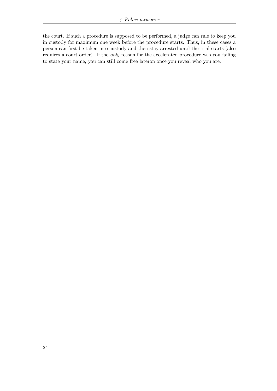the court. If such a procedure is supposed to be performed, a judge can rule to keep you in custody for maximum one week before the procedure starts. Thus, in these cases a person can first be taken into custody and then stay arrested until the trial starts (also requires a court order). If the *only* reason for the accelerated procedure was you failing to state your name, you can still come free lateron once you reveal who you are.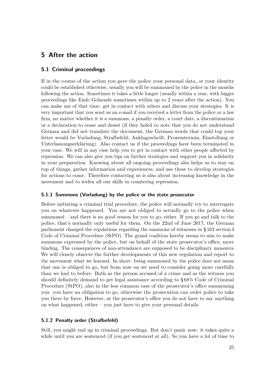# <span id="page-28-0"></span>**5 After the action**

# <span id="page-28-1"></span>**5.1 Criminal proceedings**

If in the course of the action you gave the police your personal data, or your identity could be established otherwise, usually you will be summoned by the police in the months following the action. Sometimes it takes a little longer (usually within a year, with bigger proceedings like Ende Gelaende sometimes within up to 2 years after the action). You can make use of that time: get in contact with others and discuss your strategies. It is very important that you send us an e-mail if you received a letter from the police or a law firm, no matter whether it is a summons, a penalty order, a court date, a discontinuation or a declaration to cease and desist (if they failed to note that you do not understand German and did not translate the document, the German words that could top your letter would be Vorladung, Strafbefehl, Anklageschrift, Prozesstermin, Einstellung or Unterlassungserklärung). Also contact us if the proceedings have been terminated in your case. We will in any case help you to get in contact with other people affected by repression. We can also give you tips on further strategies and support you in solidarity in your preparation. Knowing about all ongoing proceedings also helps us to stay on top of things, gather information and experiences, and use these to develop strategies for actions to come. Therefore contacting us is also about increasing knowledge in the movement and to widen all our skills in countering repression.

#### <span id="page-28-2"></span>**5.1.1 Summons (Vorladung) by the police or the state prosecutor**

Before initiating a criminal trial procedure, the police will normally try to interrogate you on whatever happened. You are not obliged to actually go to the police when summoned – and there is no good reason for you to go, either. If you go and talk to the police, that's normally only useful for them. On the 22nd of June 2017, the German parliament changed the regulations regarding the summons of witnesses in § 163 section 3 Code of Criminal Procedure (StPO). The grand coalition hereby seems to aim to make summons expressed by the police, but on behalf of the state prosecutor's office, more binding. The consequences of non-attendance are supposed to be disciplinary measures. We will closely observe the further developments of this new regulation and report to the movement what we learned. In short: being summoned by the police does not mean that one is obliged to go, but from now on we need to consider going more carefully than we had to before. Both as the person accused of a crime and as the witness you should definitely demand to get legal assistance according to § 68 b Code of Criminal Procedure (StPO), also in the less common case of the prosecutor's office summoning you: you have an obligation to go, otherwise the prosecution can order police to take you there by force. However, at the prosecutor's office you do not have to say anything on what happened, either – you just have to give your personal details.

# <span id="page-28-3"></span>**5.1.2 Penalty order (Strafbefehl)**

Still, you might end up in criminal proceedings. But don't panic now: it takes quite a while until you are sentenced (if you get sentenced at all). So you have a lot of time to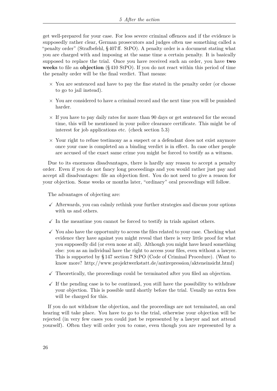get well-prepared for your case. For less severe criminal offences and if the evidence is supposedly rather clear, German prosecutors and judges often use something called a "penalty order" (Strafbefehl, § 407 ff. StPO). A penalty order is a document stating what you are charged with and imposing at the same time a certain penalty. It is basically supposed to replace the trial. Once you have received such an order, you have **two weeks** to file an **objection** (§ 410 StPO). If you do not react within this period of time the penalty order will be the final verdict. That means:

- $\times$  You are sentenced and have to pay the fine stated in the penalty order (or choose to go to jail instead).
- $\times$  You are considered to have a criminal record and the next time you will be punished harder.
- $\times$  If you have to pay daily rates for more than 90 days or get sentenced for the second time, this will be mentioned in your police clearance certificate. This might be of interest for job applications etc. (check section 5.3)
- $\times$  Your right to refuse testimony as a suspect or a defendant does not exist anymore once your case is completed an a binding verdict is in effect. In case other people are accused of the exact same crime you might be forced to testify as a witness.

Due to its enormous disadvantages, there is hardly any reason to accept a penalty order. Even if you do not fancy long proceedings and you would rather just pay and accept all disadvantages: file an objection first. You do not need to give a reason for your objection. Some weeks or months later, "ordinary" oral proceedings will follow.

The advantages of objecting are:

- $\checkmark$  Afterwards, you can calmly rethink your further strategies and discuss your options with us and others.
- $\checkmark$  In the meantime you cannot be forced to testify in trials against others.
- $\checkmark$  You also have the opportunity to access the files related to your case. Checking what evidence they have against you might reveal that there is very little proof for what you supposedly did (or even none at all). Although you might have heard something else: you as an individual have the right to access your files, even without a lawyer. This is supported by § 147 section 7 StPO (Code of Criminal Procedure). (Want to know more? [http://www.projektwerkstatt.de/antirepression/akteneinsicht.html\)](http://www.projektwerkstatt.de/antirepression/akteneinsicht.html)
- $\checkmark$  Theoretically, the proceedings could be terminated after you filed an objection.
- $\checkmark$  If the pending case is to be continued, you still have the possibility to withdraw your objection. This is possible until shortly before the trial. Usually no extra fees will be charged for this.

If you do not withdraw the objection, and the proceedings are not terminated, an oral hearing will take place. You have to go to the trial, otherwise your objection will be rejected (in very few cases you could just be represented by a lawyer and not attend yourself). Often they will order you to come, even though you are represented by a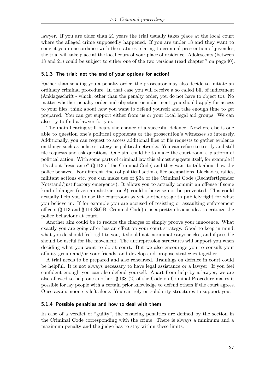lawyer. If you are older than 21 years the trial usually takes place at the local court where the alleged crime supposedly happened. If you are under 18 and they want to convict you in accordance with the statutes relating to criminal prosecution of juveniles, the trial will take place at the local court of your place of residence. Adolescents (between 18 and 21) could be subject to either one of the two versions (read chapter [7](#page-43-0) on page [40\)](#page-43-0).

#### <span id="page-30-0"></span>**5.1.3 The trial: not the end of your options for action!**

Rather than sending you a penalty order, the prosecutor may also decide to initiate an ordinary criminal procedure. In that case you will receive a so called bill of indictment (Anklageschrift - which, other than the penalty order, you do not have to object to). No matter whether penalty order and objection or indictment, you should apply for access to your files, think about how you want to defend yourself and take enough time to get prepared. You can get support either from us or your local legal aid groups. We can also try to find a lawyer for you.

The main hearing still bears the chance of a succesful defence. Nowhere else is one able to question one's political opponents or the prosecution's witnesses so intensely. Additionally, you can request to access additional files or file requests to gather evidence on things such as police strategy or political networks. You can refuse to testify and still file requests and ask questions. One aim could be to make the court room a platform of political action. With some parts of criminal law this almost suggests itself, for example if it's about "resistance" (§ 113 of the Criminal Code) and they want to talk about how the police behaved. For different kinds of political actions, like occupations, blockades, rallies, militant actions etc. you can make use of § 34 of the Criminal Code (Rechtfertigender Notstand/justificatory emergency). It allows you to actually commit an offense if some kind of danger (even an abstract one!) could otherwise not be prevented. This could actually help you to use the courtroom as yet another stage to publicly fight for what you believe in. If for example you are accused of resisting or assaulting enforcement officers (§ 113 and § 114 StGB, Criminal Code) it is a pretty obvious idea to criticize the police behaviour at court.

Another aim could be to reduce the charges or simply proove your innocence. What exactly you are going after has an effect on your court strategy. Good to keep in mind: what you do should feel right to you, it should not incriminate anyone else, and if possible should be useful for the movement. The antirepression structures will support you when deciding what you want to do at court. But we also encourage you to consult your affinity group and/or your friends, and develop and propose strategies together.

A trial needs to be prepared and also rehearsed. Trainings on defence in court could be helpful. It is not always necessary to have legal assistance or a lawyer. If you feel confident enough you can also defend yourself. Apart from help by a lawyer, we are also allowed to help one another. § 138 (2) of the Code on Criminal Procedure makes it possible for lay people with a certain prior knowledge to defend others if the court agrees. Once again: noone is left alone. You can rely on solidarity structures to support you.

#### <span id="page-30-1"></span>**5.1.4 Possible penalties and how to deal with them**

In case of a verdict of "guilty", the ensueing penalties are defined by the section in the Criminal Code corresponding with the crime. There is always a minimum and a maximum penalty and the judge has to stay within these limits.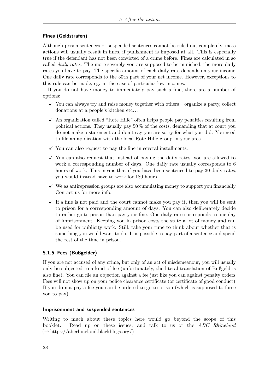# **Fines (Geldstrafen)**

Although prison sentences or suspended sentences cannot be ruled out completely, mass actions will usually result in fines, if punishment is imposed at all. This is especially true if the defendant has not been convicted of a crime before. Fines are calculated in so called *daily rates*. The more severely you are supposed to be punished, the more daily rates you have to pay. The specific amount of each daily rate depends on your income. One daily rate corresponds to the 30th part of your net income. However, exceptions to this rule can be made, eg. in the case of particular low incomes.

If you do not have money to immediately pay such a fine, there are a number of options:

- $\checkmark$  You can always try and raise money together with others organize a party, collect donations at a people's kitchen etc. . .
- $\checkmark$  An organization called "Rote Hilfe" often helps people pay penalties resulting from political actions. They usually pay  $50\%$  of the costs, demanding that at court you do not make a statement and don't say you are sorry for what you did. You need to file an application with the local Rote Hilfe group in your area.
- $\checkmark$  You can also request to pay the fine in several installments.
- $\checkmark$  You can also request that instead of paying the daily rates, you are allowed to work a corresponding number of days. One daily rate usually corresponds to 6 hours of work. This means that if you have been sentenced to pay 30 daily rates, you would instead have to work for 180 hours.
- $\checkmark$  We as antirepression groups are also accumulating money to support you financially. Contact us for more info.
- $\checkmark$  If a fine is not paid and the court cannot make you pay it, then you will be sent to prison for a corresponding amount of days. You can also deliberately decide to rather go to prison than pay your fine. One daily rate corresponds to one day of imprisonment. Keeping you in prison costs the state a lot of money and can be used for publicity work. Still, take your time to think about whether that is something you would want to do. It is possible to pay part of a sentence and spend the rest of the time in prison.

# <span id="page-31-0"></span>**5.1.5 Fees (Bußgelder)**

If you are not accused of any crime, but only of an act of misdemeanour, you will usually only be subjected to a kind of fee (unfortunately, the literal translation of Bußgeld is also fine). You can file an objection against a fee just like you can against penalty orders. Fees will not show up on your police clearance certificate (or certificate of good conduct). If you do not pay a fee you can be ordered to go to prison (which is supposed to force you to pay).

# **Imprisonment and suspended sentences**

Writing to much about these topics here would go beyond the scope of this booklet. Read up on these issues, and talk to us or the *ABC Rhineland*  $(\rightarrow$  [https://abcrhineland.blackblogs.org/\)](https://abcrhineland.blackblogs.org/)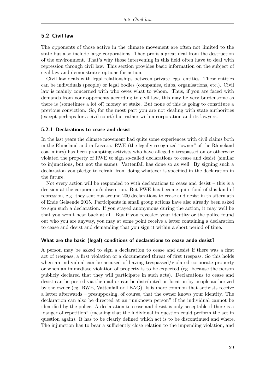# <span id="page-32-0"></span>**5.2 Civil law**

The opponents of those active in the climate movement are often not limited to the state but also include large corporations. They profit a great deal from the destruction of the environment. That's why those intervening in this field often have to deal with repression through civil law. This section provides basic information on the subject of civil law and demonstrates options for action.

Civil law deals with legal relationships between private legal entities. These entities can be individuals (people) or legal bodies (companies, clubs, organisations, etc.). Civil law is mainly concerned with who owes what to whom. Thus, if you are faced with demands from your opponents according to civil law, this may be very burdensome as there is (sometimes a lot of) money at stake. But none of this is going to constitute a previous conviction. So, for the most part you are not dealing with state authorities (except perhaps for a civil court) but rather with a corporation and its lawyers.

#### <span id="page-32-1"></span>**5.2.1 Declarations to cease and desist**

In the last years the climate movement had quite some experiences with civil claims both in the Rhineland and in Lusatia. RWE (the legally recognized "owner" of the Rhineland coal mines) has been prompting activists who have allegedly trespassed on or otherwise violated the property of RWE to sign so-called declarations to cease and desist (similar to injunctions, but not the same). Vattenfall has done so as well. By signing such a declaration you pledge to refrain from doing whatever is specified in the declaration in the future.

Not every action will be responded to with declarations to cease and desist – this is a decision at the corporation's discretion. But RWE has become quite fond of this kind of repression, e.g. they sent out around 200 declarations to cease and desist in th aftermath of Ende Gelaende 2015. Participants in small group actions have also already been asked to sign such a declaration. If you stayed anonymous during the action, it may well be that you won't hear back at all. But if you revealed your identity or the police found out who you are anyway, you may at some point receive a letter containing a declaration to cease and desist and demanding that you sign it within a short period of time.

#### **What are the basic (legal) conditions of declarations to cease ande desist?**

A person may be asked to sign a declaration to cease and desist if there was a first act of trespass, a first violation or a documented threat of first trespass. So this holds when an individual can be accused of having trespassed/violated corporate property or when an immediate violation of property is to be expected (eg. because the person publicly declared that they will participate in such acts). Declarations to cease and desist can be posted via the mail or can be distributed on location by people authorized by the owner (eg. RWE, Vattenfall or LEAG). It is more common that activists receive a letter afterwards – presupposing, of course, that the owner knows your identity. The declaration can also be directed at an "unknown person" if the individual cannot be identified by the police. A declaration to cease and desist is only acceptable if there is a "danger of repetition" (meaning that the individual in question could perform the act in question again). It has to be clearly defined which act is to be discontinued and where. The injunction has to bear a sufficiently close relation to the impending violation, and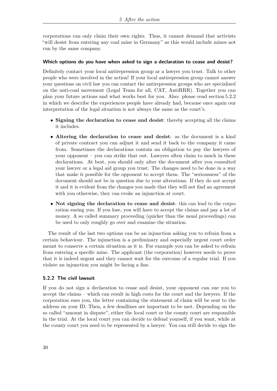corporations can only claim their own rights. Thus, it cannot demand that activists "will desist from entering any coal mine in Germany" as this would include mines not run by the same company.

#### **Which options do you have when asked to sign a declaration to cease and desist?**

Definitely contact your local antirepression group ar a lawyer you trust. Talk to other people who were involved in the action! If your local antirepression group cannot answer your questions on civil law you can contact the antirepression groups who are specialized on the anti-coal movement (Legal Team for all, CAT, AntiRRR). Together you can plan your future actions and what works best for you. Also: please read section [5.2.2](#page-34-0) in which we describe the experiences people have already had, because once again our interpretation of the legal situation is not always the same as the court's.

- **Signing the declaration to cease and desist**: thereby accepting all the claims it includes.
- **Altering the declaration to cease and desist**: as the document is a kind of private contract you can adjust it and send it back to the company it came from. Sometimes the declarations contain an obligation to pay the lawyers of your opponent – you can strike that out. Lawyers often claim to much in these declarations. At best, you should only alter the document after you consulted your lawyer or a legal aid group you trust. The changes need to be done in a way that make it possible for the opponent to accept them. The "seriousness" of the document should not be in question due to your alterations. If they do not accept it and it is evident from the changes you made that they will not find an agreement with you otherwise, they can evoke an injunction at court.
- **Not signing the declaration to cease and desist**: this can lead to the corporation sueing you. If you lose, you will have to accept the claims and pay a lot of money. A so called summary proceeding (quicker than the usual proceedings) can be used to only roughly go over and examine the situation.

The result of the last two options can be an injunction asking you to refrain from a certain behaviour. The injunction is a preliminary and especially urgent court order meant to conserve a certain situation as it is. For example you can be asked to refrain from entering a specific mine. The applicant (the corporation) however needs to prove that it is indeed urgent and they cannot wait for the outcome of a regular trial. If you violate an injunction you might be facing a fine.

# <span id="page-33-0"></span>**5.2.2 The civil lawsuit**

If you do not sign a declaration to cease and desist, your opponent can sue you to accept the claims – which can result in high costs for the court and the lawyers. If the corporation sues you, the letter containing the statement of claim will be sent to the address on your ID. Then, a few deadlines are important to be met. Depending on the so called "amount in dispute", either the local court or the county court are responsible in the trial. At the local court you can decide to defend yourself, if you want, while at the county court you need to be represented by a lawyer. You can still decide to sign the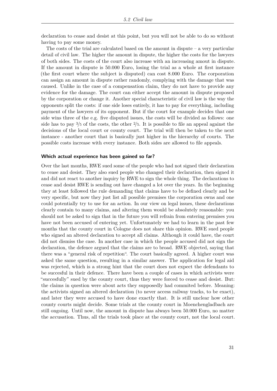declaration to cease and desist at this point, but you will not be able to do so without having to pay some money.

The costs of the trial are calculated based on the amount in dispute – a very particular detail of civil law. The higher the amount in dispute, the higher the costs for the lawyers of both sides. The costs of the court also increase with an increasing amout in dispute. If the amount in dispute is 50.000 Euro, losing the trial as a whole at first instance (the first court where the subject is disputed) can cost 8.000 Euro. The corporation can assign an amount in dispute rather randomly, complying with the damage that was caused. Unlike in the case of a compensation claim, they do not have to provide any evidence for the damage. The court can either accept the amount in dispute proposed by the corporation or change it. Another special characteristic of civil law is the way the opponents split the costs: if one side loses entirely, it has to pay for everything, including payment of the lawyers of its opponent. But if the court for example decides that one side wins three of the e.g. five disputed issues, the costs will be divided as follows: one side has to pay 3*/*5 of the costs, the other 2*/*5. It is possible to file an appeal against the decisions of the local court or county court. The trial will then be taken to the next instance - another court that is basically just higher in the hierarchy of courts. The possible costs increase with every instance. Both sides are allowed to file appeals.

#### <span id="page-34-0"></span>**Which actual experience has been gained so far?**

Over the last months, RWE sued some of the people who had not signed their declaration to cease and desist. They also sued people who changed their declaration, then signed it and did not react to another inquiry by RWE to sign the whole thing. The declarations to cease and desist RWE is sending out have changed a lot over the years. In the beginning they at least followed the rule demanding that claims have to be defined clearly and be very specific, but now they just list all possible premises the corporation owns and one could potentially try to use for an action. In our view on legal issues, these declarations clearly contain to many claims, and altering them would be absolutely reasonable: you should not be asked to sign that in the future you will refrain from entering premises you have not been accused of entering yet. Unfortunately we had to learn in the past few months that the county court in Cologne does not share this opinion. RWE sued people who signed an altered declaration to accept all claims. Although it could have, the court did not dismiss the case. In another case in which the people accused did not sign the declaration, the defence argued that the claims are to broad. RWE objected, saying that there was a "general risk of repetition". The court basically agreed. A higher court was asked the same question, resulting in a similar answer. The application for legal aid was rejected, which is a strong hint that the court does not expect the defendants to be succesful in their defence. There have been a couple of cases in which activists were "succesfully" sued by the county court, thus they were forced to cease and desist. But: the claims in question were about acts they supposedly had commited before. Meaning: the activists signed an altered declaration (to never access railway tracks, to be exact), and later they were accused to have done exactly that. It is still unclear how other county courts might decide. Some trials at the county court in Moenchengladbach are still ongoing. Until now, the amount in dispute has always been 50.000 Euro, no matter the accusation. Thus, all the trials took place at the county court, not the local court.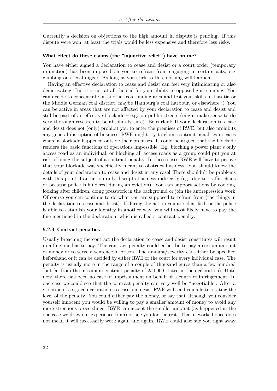Currently a decision on objections to the high amount in dispute is pending. If this dispute were won, at least the trials would be less expensive and therefore less risky.

#### **What effect do these claims (the "injunctive relief") have on me?**

You have either signed a declaration to cease and desist or a court order (temporary injunction) has been imposed on you to refrain from engaging in certain acts, e.g. climbing on a coal digger. As long as you stick to this, nothing will happen.

Having an effective declaration to cease and desist can feel very intimidating or also demotivating. But it is not at all the end for your ability to oppose lignite mining! You can decide to concentrate on another coal mining area and test your skills in Lusatia or the Middle German coal district, maybe Hamburg's coal harbour, or elsewhere :) You can be active in areas that are not affected by your declaration to cease and desist and still be part of an effective blockade – e.g. on public streets (might make sense to do very thorough research to be absolutely sure). Be carfeul: If your declaration to cease and desist does not (only) prohibit you to enter the premises of RWE, but also prohibits any general disruption of business, RWE might try to claim contract penalties in cases where a blockade happened outside their premises. It could be argued that the blockade renders the basic functions of operations impossible. Eg. blocking a power plant's only access road as an individual, or blocking all access roads as a group could put you at risk of being the subject of a contract penalty. In these cases RWE will have to proove that your blockade was specifically meant to obstruct business. You should know the details of your declaration to cease and desist in any case! There shouldn't be problems with this point if an action only disrupts business indirectly (eg. due to traffic chaos or because police is hindered during an eviction). You can support actions by cooking, looking after children, doing presswork in the background or join the antirepression work. Of course you can continue to do what you are supposed to refrain from (the things in the declaration to cease and desist). If during the action you are identified, or the police is able to establish your identity in another way, you will most likely have to pay the fine mentioned in the declaration, which is called a contract penalty.

#### <span id="page-35-0"></span>**5.2.3 Contract penalties**

Usually breaching the contract the declaration to cease and desist constitutes will result in a fine one has to pay. The contract penalty could either be to pay a certain amount of money or to serve a sentence in prison. The amount/severity can either be specified beforehand or it can be decided by either RWE or the court for every individual case. The penalty is usually more in the range of a couple of thousand euros than a few hundred (but far from the maximum contract penalty of 250.000 stated in the declaration). Until now, there has been no case of imprisonment on behalf of a contract infringement. In one case we could see that the contract penalty can very well be "negotiable". After a violation of a signed declaration to cease and desist RWE will send you a letter stating the level of the penalty. You could either pay the money, or say that although you consider yourself innocent you would be willing to pay a smaller amount of money to avoid any more strenuous proceedings. RWE can accept the smaller amount (as happened in the one case we draw our experience from) or sue you for the rest. That it worked once does not mean it will necessarily work again and again. RWE could also sue you right away.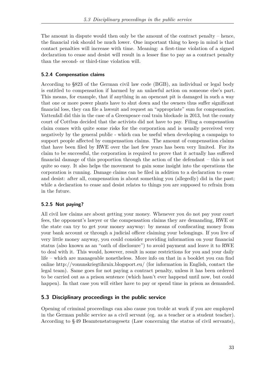The amount in dispute would then only be the amount of the contract penalty – hence, the financial risk should be much lower. One important thing to keep in mind is that contact penalties will increase with time. Meaning: a first-time violation of a signed declaration to cease and desist will result in a lesser fine to pay as a contract penalty than the second- or third-time violation will.

# <span id="page-36-0"></span>**5.2.4 Compensation claims**

According to §823 of the German civil law code (BGB), an individual or legal body is entitled to compensation if harmed by an unlawful action on someone else's part. This means, for example, that if anything in an opencast pit is damaged in such a way that one or more power plants have to shut down and the owners thus suffer significant financial loss, they can file a lawsuit and request an "appropriate" sum for compensation. Vattenfall did this in the case of a Greenpeace coal train blockade in 2013, but the county court of Cottbus decided that the activists did not have to pay. Filing a compensation claim comes with quite some risks for the corporation and is usually perceived very negatively by the general public - which can be useful when developing a campaign to support people affected by compensation claims. The amount of compensation claims that have been filed by RWE over the last few years has been very limited. For its claim to be successful, the corporation is required to prove that it actually has suffered financial damage of this proportion through the action of the defendant – this is not quite so easy. It also helps the movement to gain some insight into the operations the corporation is running. Damage claims can be filed in addition to a declaration to cease and desist: after all, compensation is about something you (allegedly) did in the past; while a declaration to cease and desist relates to things you are supposed to refrain from in the future.

# <span id="page-36-1"></span>**5.2.5 Not paying?**

All civil law claims are about getting your money. Whenever you do not pay your court fees, the opponent's lawyer or the compensation claims they are demanding, RWE or the state can try to get your money anyway: by means of confiscating money from your bank account or through a judicial officer claiming your belongings. If you live of very little money anyway, you could consider providing information on your financial status (also known as an "oath of disclosure") to avoid payment and leave it to RWE to deal with it. This would, however, result in some restrictions for you and your daily life – which are manageable nonetheless. More info on that in a booklet you can find online http://vonunskriegtihrnix.blogsport.eu/ (for information in English, contact the legal team). Same goes for not paying a contract penalty, unless it has been ordered to be carried out as a prison sentence (which hasn't ever happend until now, but could happen). In that case you will either have to pay or spend time in prison as demanded.

# <span id="page-36-2"></span>**5.3 Disciplinary proceedings in the public service**

Opening of criminal proceedings can also cause you troble at work if you are employed in the German public service as a civil servant (eg. as a teacher or a student teacher). According to § 49 Beamtenstatusgesetz (Law concerning the status of civil servants),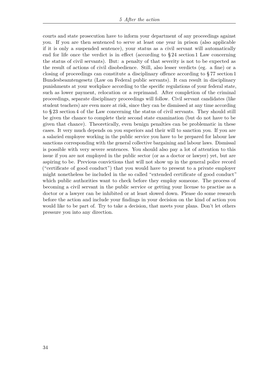courts and state prosecution have to inform your department of any proceedings against you. If you are then sentenced to serve at least one year in prison (also applicable if it is only a suspended sentence), your status as a civil servant will automatically end for life once the verdict is in effect (according to § 24 section 1 Law concerning the status of civil servants). But: a penalty of that severity is not to be expected as the result of actions of civil disobedience. Still, also lesser verdicts (eg. a fine) or a closing of proceedings can constitute a disciplinary offence according to § 77 section 1 Bundesbeamtengesetz (Law on Federal public servants). It can result in disciplinary punishments at your workplace according to the specific regulations of your federal state, such as lower payment, relocation or a reprimand. After completion of the criminal proceedings, separate disciplinary proceedings will follow. Civil servant candidates (like student teachers) are even more at risk, since they can be dismissed at any time according to § 23 section 4 of the Law concerning the status of civil servants. They should still be given the chance to complete their second state examination (but do not have to be given that chance). Theoretically, even benign penalties can be problematic in these cases. It very much depends on you superiors and their will to sanction you. If you are a salaried employee working in the public service you have to be prepared for labour law sanctions corresponding with the general collective bargaining and labour laws. Dismissal is possible with very severe sentences. You should also pay a lot of attention to this issue if you are not employed in the public sector (or as a doctor or lawyer) yet, but are aspiring to be. Previous convictions that will not show up in the general police record ("certificate of good conduct") that you would have to present to a private employer might nonetheless be included in the so called "extended certificate of good conduct" which public authorities want to check before they employ someone. The process of becoming a civil servant in the public service or getting your license to practise as a doctor or a lawyer can be inhibited or at least slowed down. Please do some research before the action and include your findings in your decision on the kind of action you would like to be part of. Try to take a decision, that meets your plans. Don't let others pressure you into any direction.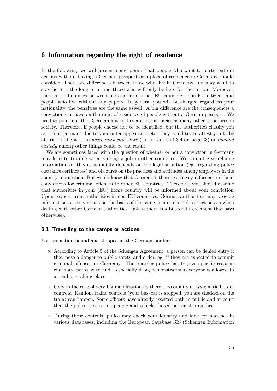# <span id="page-38-0"></span>**6 Information regarding the right of residence**

In the following, we will present some points that people who want to participate in actions without having a German passport or a place of residence in Germany should consider. There are differences between those who live in Germany and may want to stay here in the long term and those who will only be here for the action. Moreover, there are differences between persons from other EU countries, non-EU citizens and people who live without any papers. In general you will be charged regardless your nationality, the penalties are the same aswell. A big difference are the consequences a conviction can have on the right of residence of people without a German passport. We need to point out that German authorities are just as racist as many other structures in society. Therefore, if people choose not to be identified, but the authorities classify you as a "non-german" due to your outer appearance etc., they could try to attest you to be at "risk of flight" - an *accelerated procedure* (→ see section [4.3.4](#page-26-0) on page [23\)](#page-26-0) or *remand custody* among other things could be the result.

We are sometimes faced with the question of whether or not a conviction in Germany may lead to trouble when seeking a job in other countries. We cannot give reliable information on this as it mainly depends on the legal situation (eg. regarding police clearance certificates) and of course on the practices and attitudes among employers in the country in question. But we do know that German authorities convey information about convictions for criminal offences to other EU countries. Therefore, you should assume that authorities in your (EU) home country will be informed about your conviction. Upon request from authorities in non-EU countries, German authorities may provide information on convictions on the basis of the same conditions and restrictions as when dealing with other German authorities (unless there is a bilateral agreement that says otherwise).

#### <span id="page-38-1"></span>**6.1 Travelling to the camps or actions**

You are action-bound and stopped at the German border:

- $\times$  According to Article 5 of the Schengen Agreement, a person can be denied entry if they pose a danger to public safety and order, eg. if they are expected to commit criminal offenses in Germany. The boarder police has to give specific reasons, which are not easy to find – especially if big demonstrations everyone is allowed to attend are taking place.
- $\times$  Only in the case of very big mobilizations is there a possibility of systematic border controls. Random traffic controls (your bus/car is stopped, you are checked on the train) can happen. Some officers have already asserted both in public and at court that the police is selecting people and vehicles based on racist prejudice.
- $\times$  During these controls, police may check your identity and look for matches in various databases, including the European database SIS (Schengen Information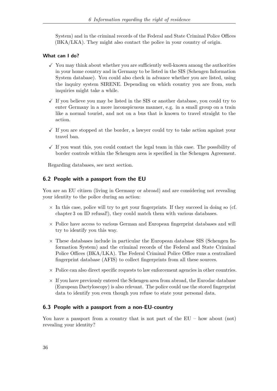System) and in the criminal records of the Federal and State Criminal Police Offices (BKA/LKA). They might also contact the police in your country of origin.

# **What can I do?**

- $\checkmark$  You may think about whether you are sufficiently well-known among the authorities in your home country and in Germany to be listed in the SIS (Schengen Information System database). You could also check in advance whether you are listed, using the inquiry system SIRENE. Depending on which country you are from, such inquiries might take a while.
- $\checkmark$  If you believe you may be listed in the SIS or another database, you could try to enter Germany in a more inconspicuous manner, e.g. in a small group on a train like a normal tourist, and not on a bus that is known to travel straight to the action.
- $\checkmark$  If you are stopped at the border, a lawyer could try to take action against your travel ban.
- $\checkmark$  If you want this, you could contact the legal team in this case. The possibility of border controls within the Schengen area is specified in the Schengen Agreement.

Regarding databases, see next section.

# <span id="page-39-0"></span>**6.2 People with a passport from the EU**

You are an EU citizen (living in Germany or abroad) and are considering not revealing your identity to the police during an action:

- $\times$  In this case, police will try to get your fingerprints. If they succeed in doing so (cf. chapter [3](#page-15-0) on ID refusal!), they could match them with various databases.
- $\times$  Police have access to various German and European fingerprint databases and will try to identify you this way.
- $\times$  These databases include in particular the European database SIS (Schengen Information System) and the criminal records of the Federal and State Criminal Police Offices (BKA/LKA). The Federal Criminal Police Office runs a centralized fingerprint database (AFIS) to collect fingerprints from all these sources.
- $\times$  Police can also direct specific requests to law enforcement agencies in other countries.
- $\times$  If you have previously entered the Schengen area from abroad, the Eurodac database (European Dactyloscopy) is also relevant. The police could use the stored fingerprint data to identify you even though you refuse to state your personal data.

# <span id="page-39-1"></span>**6.3 People with a passport from a non-EU-country**

You have a passport from a country that is not part of the EU – how about (not) revealing your identity?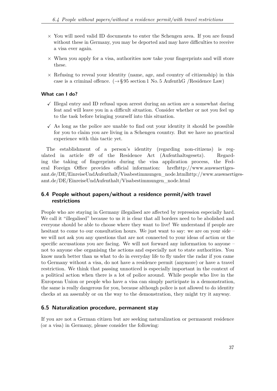- × You will need valid ID documents to enter the Schengen area. If you are found without these in Germany, you may be deported and may have difficulties to receive a visa ever again.
- $\times$  When you apply for a visa, authorities now take your fingerprints and will store these.
- $\times$  Refusing to reveal your identity (name, age, and country of citizenship) in this case is a criminal offence.  $(\rightarrow \S 95 \text{ section 1 No. 5 AuthorthG /Residence Law})$

#### **What can I do?**

- $\checkmark$  Illegal entry and ID refusal upon arrest during an action are a somewhat daring feat and will leave you in a difficult situation. Consider whether or not you feel up to the task before bringing yourself into this situation.
- $\checkmark$  As long as the police are unable to find out your identity it should be possible for you to claim you are living in a Schengen country. But we have no practical experience with this tactic yet.

The establishment of a person's identity (regarding non-citizens) is regulated in article 49 of the Residence Act (Aufenthaltsgesetz). Regarding the taking of fingerprints during the visa application process, the Federal Foreign Office provides official information: hrefhttp://www.auswaertigesamt.de/DE/EinreiseUndAufenthalt/Visabestimmungen\_node.htmlhttp://www.auswaertigesamt.de/DE/EinreiseUndAufenthalt/Visabestimmungen\_node.html

# <span id="page-40-0"></span>**6.4 People without papers/without a residence permit/with travel restrictions**

People who are staying in Germany illegalised are affected by repression especially hard. We call it "illegalised" because to us it is clear that all borders need to be abolished and everyone should be able to choose where they want to live! We understand if people are hesitant to come to our consultation hours. We just want to say: we are on your side – we will not ask you any questions that are not connected to your ideas of action or the specific accusations you are facing. We will not forward any information to anyone – not to anyone else organising the actions and especially not to state authorities. You know much better than us what to do in everyday life to fly under the radar if you came to Germany without a visa, do not have a residence permit (anymore) or have a travel restriction. We think that passing unnoticed is especially important in the context of a political action when there is a lot of police around. While people who live in the European Union or people who have a visa can simply participate in a demonstration, the same is really dangerous for you, because although police is not allowed to do identity checks at an assembly or on the way to the demonstration, they might try it anyway.

# <span id="page-40-1"></span>**6.5 Naturalization procedure, permanent stay**

If you are not a German citizen but are seeking naturalization or permanent residence (or a visa) in Germany, please consider the following: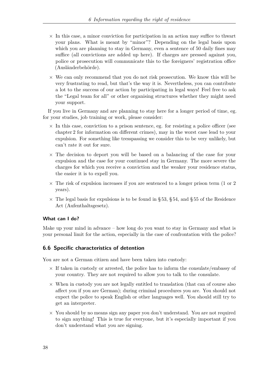- $\times$  In this case, a minor conviction for participation in an action may suffice to thwart your plans. What is meant by "minor"? Depending on the legal basis upon which you are planning to stay in Germany, even a sentence of 50 daily fines may suffice (all convictions are added up here). If charges are pressed against you, police or prosecution will communicate this to the foreigners' registration office (Ausländerbehörde).
- $\times$  We can only recommend that you do not risk prosecution. We know this will be very frustrating to read, but that's the way it is. Nevertheless, you can contribute a lot to the success of our action by participating in legal ways! Feel free to ask the "Legal team for all" or other organising structures whether they might need your support.

If you live in Germany and are planning to stay here for a longer period of time, eg. for your studies, job training or work, please consider:

- $\times$  In this case, conviction to a prison sentence, eg. for resisting a police officer (see chapter [2](#page-6-0) for information on different crimes), may in the worst case lead to your expulsion. For something like tresspassing we consider this to be very unlikely, but can't rate it out for sure.
- $\times$  The decision to deport you will be based on a balancing of the case for your expulsion and the case for your continued stay in Germany. The more severe the charges for which you receive a conviction and the weaker your residence status, the easier it is to expell you.
- $\times$  The risk of expulsion increases if you are sentenced to a longer prison term (1 or 2) years).
- $\times$  The legal basis for expulsions is to be found in § 53, § 54, and § 55 of the Residence Act (Aufenthaltsgesetz).

# **What can I do?**

Make up your mind in advance – how long do you want to stay in Germany and what is your personal limit for the action, especially in the case of confrontation with the police?

# <span id="page-41-0"></span>**6.6 Specific characteristics of detention**

You are not a German citizen and have been taken into custody:

- $\times$  If taken in custody or arrested, the police has to inform the consulate/embassy of your country. They are not required to allow you to talk to the consulate.
- $\times$  When in custody you are not legally entitled to translation (that can of course also affect you if you are German); during criminal procedures you are. You should not expect the police to speak English or other languages well. You should still try to get an interpreter.
- $\times$  You should by no means sign any paper you don't understand. You are not required to sign anything! This is true for everyone, but it's especially important if you don't understand what you are signing.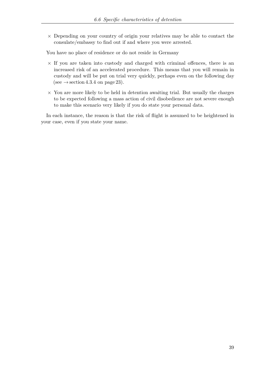× Depending on your country of origin your relatives may be able to contact the consulate/embassy to find out if and where you were arrested.

You have no place of residence or do not reside in Germany

- $\times$  If you are taken into custody and charged with criminal offences, there is an increased risk of an accelerated procedure. This means that you will remain in custody and will be put on trial very quickly, perhaps even on the following day (see  $\rightarrow$  section [4.3.4](#page-26-0) on page [23\)](#page-26-0).
- $\times$  You are more likely to be held in detention awaiting trial. But usually the charges to be expected following a mass action of civil disobedience are not severe enough to make this scenario very likely if you do state your personal data.

In each instance, the reason is that the risk of flight is assumed to be heightened in your case, even if you state your name.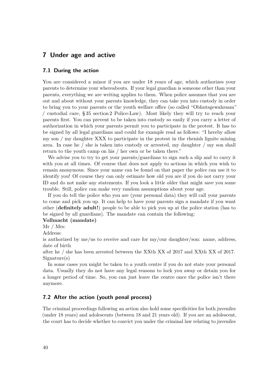# <span id="page-43-0"></span>**7 Under age and active**

#### <span id="page-43-1"></span>**7.1 During the action**

You are considered a minor if you are under 18 years of age, which authorizes your parents to determine your whereabouts. If your legal guardian is someone other than your parents, everything we are writing applies to them. When police assumes that you are out and about without your parents knowledge, they can take you into custody in order to bring you to your parents or the youth welfare office (so called "Obhutsgewahrsam" / custodial care, § 35 section 2 Police-Law). Most likely they will try to reach your parents first. You can prevent to be taken into custody so easily if you carry a letter of authorization in which your parents permit you to participate in the protest. It has to be signed by all legal guardians and could for example read as follows: "I hereby allow my son / my daughter XXX to participate in the protest in the rhenish lignite mining area. In case he / she is taken into custody or arrested, my daughter / my son shall return to the youth camp on his / her own or be taken there."

We advise you to try to get your parents/guardians to sign such a slip and to carry it with you at all times. Of course that does not apply to actions in which you wish to remain anonymous. Since your name can be found on that paper the police can use it to identify you! Of course they can only estimate how old you are if you do not carry your ID and do not make any statements. If you look a little older that might save you some trouble. Still, police can make very random assumptions about your age.

If you do tell the police who you are (your personal data) they will call your parents to come and pick you up. It can help to have your parents sign a mandate if you want other (**definitely adult!**) people to be able to pick you up at the police station (has to be signed by all guardians). The mandate can contain the following:

# **Vollmacht (mandate)**

Mr / Mrs:

Address:

is authorized by me/us to receive and care for my/our daughter/son: name, address, date of birth

after he / she has been arrested between the XXth XX of 2017 and XXth XX of 2017. Signature(s)

In some cases you might be taken to a youth centre if you do not state your personal data. Usually they do not have any legal reasons to lock you away or detain you for a longer period of time. So, you can just leave the centre once the police isn't there anymore.

# <span id="page-43-2"></span>**7.2 After the action (youth penal process)**

The criminal proceedings following an action also hold some specificities for both juveniles (under 18 years) and adolescents (between 18 and 21 years old). If you are an adolescent, the court has to decide whether to convict you under the criminal law relating to juveniles